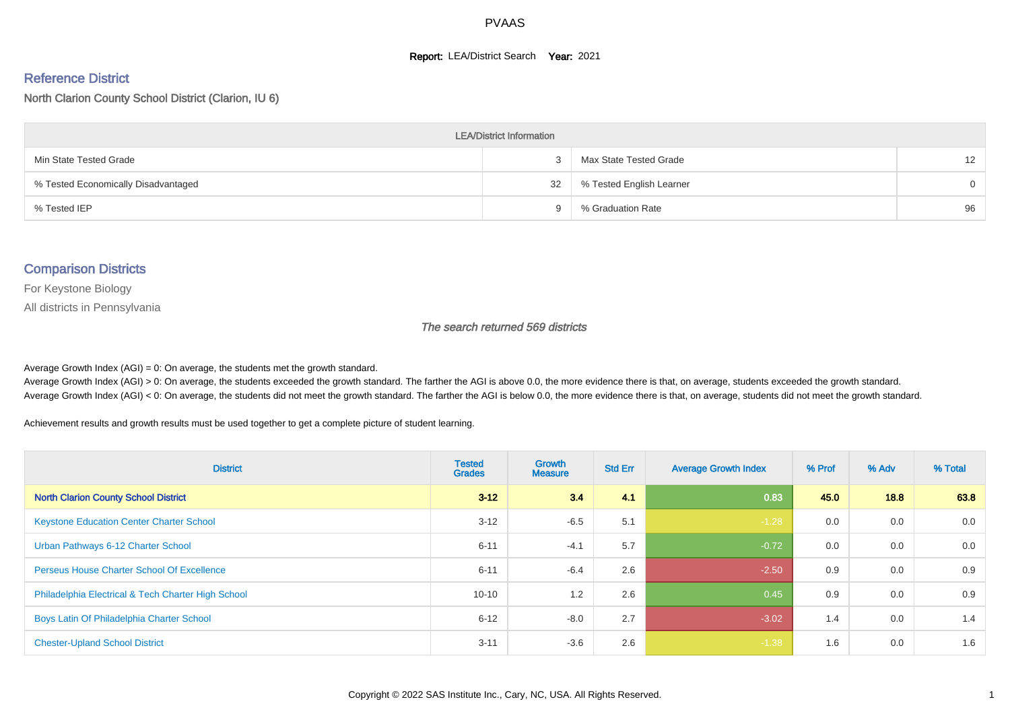#### **Report: LEA/District Search Year: 2021**

#### Reference District

North Clarion County School District (Clarion, IU 6)

| <b>LEA/District Information</b>     |    |                          |                   |  |  |  |  |  |  |
|-------------------------------------|----|--------------------------|-------------------|--|--|--|--|--|--|
| Min State Tested Grade              |    | Max State Tested Grade   | $12 \overline{ }$ |  |  |  |  |  |  |
| % Tested Economically Disadvantaged | 32 | % Tested English Learner | $\Omega$          |  |  |  |  |  |  |
| % Tested IEP                        |    | % Graduation Rate        | 96                |  |  |  |  |  |  |

#### Comparison Districts

For Keystone Biology

All districts in Pennsylvania

The search returned 569 districts

Average Growth Index  $(AGI) = 0$ : On average, the students met the growth standard.

Average Growth Index (AGI) > 0: On average, the students exceeded the growth standard. The farther the AGI is above 0.0, the more evidence there is that, on average, students exceeded the growth standard. Average Growth Index (AGI) < 0: On average, the students did not meet the growth standard. The farther the AGI is below 0.0, the more evidence there is that, on average, students did not meet the growth standard.

Achievement results and growth results must be used together to get a complete picture of student learning.

| <b>District</b>                                    | <b>Tested</b><br><b>Grades</b> | <b>Growth</b><br><b>Measure</b> | <b>Std Err</b> | <b>Average Growth Index</b> | % Prof | % Adv | % Total |
|----------------------------------------------------|--------------------------------|---------------------------------|----------------|-----------------------------|--------|-------|---------|
| <b>North Clarion County School District</b>        | $3 - 12$                       | 34                              | 4.1            | 0.83                        | 45.0   | 18.8  | 63.8    |
| <b>Keystone Education Center Charter School</b>    | $3 - 12$                       | $-6.5$                          | 5.1            | $-1.28$                     | 0.0    | 0.0   | 0.0     |
| Urban Pathways 6-12 Charter School                 | $6 - 11$                       | $-4.1$                          | 5.7            | $-0.72$                     | 0.0    | 0.0   | 0.0     |
| <b>Perseus House Charter School Of Excellence</b>  | $6 - 11$                       | $-6.4$                          | 2.6            | $-2.50$                     | 0.9    | 0.0   | 0.9     |
| Philadelphia Electrical & Tech Charter High School | $10 - 10$                      | 1.2                             | 2.6            | 0.45                        | 0.9    | 0.0   | 0.9     |
| Boys Latin Of Philadelphia Charter School          | $6 - 12$                       | $-8.0$                          | 2.7            | $-3.02$                     | 1.4    | 0.0   | 1.4     |
| <b>Chester-Upland School District</b>              | $3 - 11$                       | $-3.6$                          | 2.6            | $-1.38$                     | 1.6    | 0.0   | 1.6     |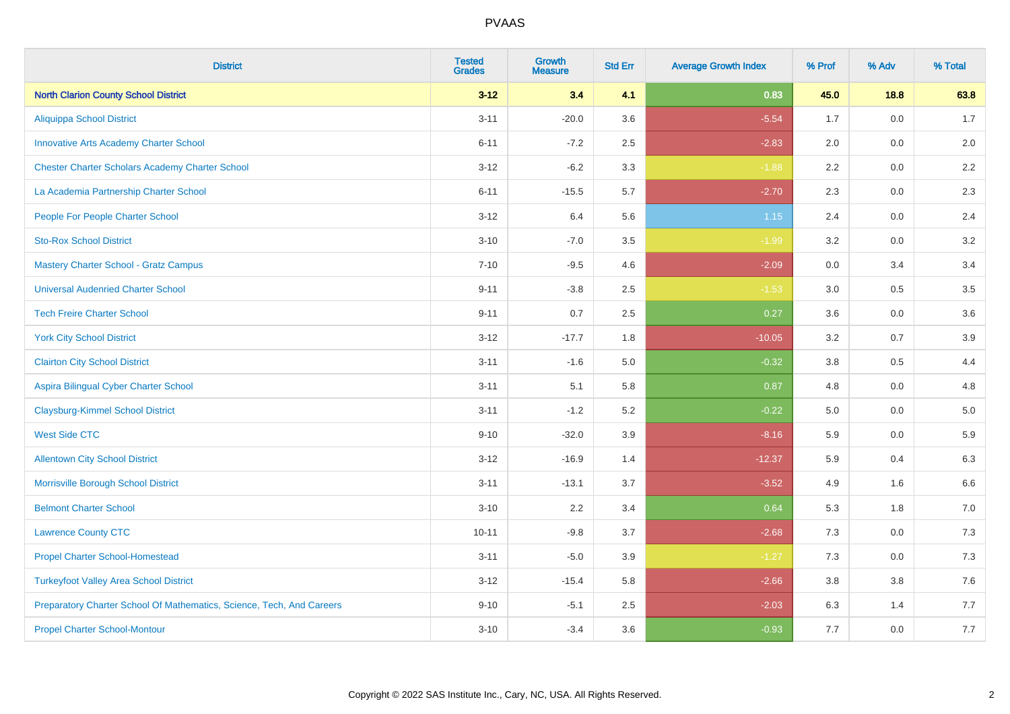| <b>District</b>                                                       | <b>Tested</b><br><b>Grades</b> | <b>Growth</b><br><b>Measure</b> | <b>Std Err</b> | <b>Average Growth Index</b> | % Prof | % Adv   | % Total |
|-----------------------------------------------------------------------|--------------------------------|---------------------------------|----------------|-----------------------------|--------|---------|---------|
| <b>North Clarion County School District</b>                           | $3 - 12$                       | 3.4                             | 4.1            | 0.83                        | 45.0   | 18.8    | 63.8    |
| <b>Aliquippa School District</b>                                      | $3 - 11$                       | $-20.0$                         | 3.6            | $-5.54$                     | 1.7    | 0.0     | 1.7     |
| <b>Innovative Arts Academy Charter School</b>                         | $6 - 11$                       | $-7.2$                          | 2.5            | $-2.83$                     | 2.0    | 0.0     | 2.0     |
| <b>Chester Charter Scholars Academy Charter School</b>                | $3 - 12$                       | $-6.2$                          | 3.3            | $-1.88$                     | 2.2    | $0.0\,$ | $2.2\,$ |
| La Academia Partnership Charter School                                | $6 - 11$                       | $-15.5$                         | 5.7            | $-2.70$                     | 2.3    | 0.0     | 2.3     |
| People For People Charter School                                      | $3 - 12$                       | 6.4                             | 5.6            | $1.15$                      | 2.4    | 0.0     | 2.4     |
| <b>Sto-Rox School District</b>                                        | $3 - 10$                       | $-7.0$                          | 3.5            | $-1.99$                     | 3.2    | $0.0\,$ | 3.2     |
| <b>Mastery Charter School - Gratz Campus</b>                          | $7 - 10$                       | $-9.5$                          | 4.6            | $-2.09$                     | 0.0    | 3.4     | 3.4     |
| <b>Universal Audenried Charter School</b>                             | $9 - 11$                       | $-3.8$                          | 2.5            | $-1.53$                     | 3.0    | 0.5     | 3.5     |
| <b>Tech Freire Charter School</b>                                     | $9 - 11$                       | 0.7                             | $2.5\,$        | 0.27                        | 3.6    | 0.0     | 3.6     |
| <b>York City School District</b>                                      | $3 - 12$                       | $-17.7$                         | 1.8            | $-10.05$                    | 3.2    | 0.7     | 3.9     |
| <b>Clairton City School District</b>                                  | $3 - 11$                       | $-1.6$                          | 5.0            | $-0.32$                     | 3.8    | 0.5     | 4.4     |
| Aspira Bilingual Cyber Charter School                                 | $3 - 11$                       | 5.1                             | 5.8            | 0.87                        | 4.8    | 0.0     | 4.8     |
| <b>Claysburg-Kimmel School District</b>                               | $3 - 11$                       | $-1.2$                          | 5.2            | $-0.22$                     | 5.0    | 0.0     | $5.0$   |
| <b>West Side CTC</b>                                                  | $9 - 10$                       | $-32.0$                         | 3.9            | $-8.16$                     | 5.9    | 0.0     | 5.9     |
| <b>Allentown City School District</b>                                 | $3 - 12$                       | $-16.9$                         | 1.4            | $-12.37$                    | 5.9    | 0.4     | 6.3     |
| Morrisville Borough School District                                   | $3 - 11$                       | $-13.1$                         | 3.7            | $-3.52$                     | 4.9    | 1.6     | 6.6     |
| <b>Belmont Charter School</b>                                         | $3 - 10$                       | 2.2                             | 3.4            | 0.64                        | 5.3    | 1.8     | 7.0     |
| <b>Lawrence County CTC</b>                                            | $10 - 11$                      | $-9.8$                          | 3.7            | $-2.68$                     | 7.3    | 0.0     | 7.3     |
| <b>Propel Charter School-Homestead</b>                                | $3 - 11$                       | $-5.0$                          | 3.9            | $-1.27$                     | 7.3    | 0.0     | $7.3$   |
| <b>Turkeyfoot Valley Area School District</b>                         | $3 - 12$                       | $-15.4$                         | 5.8            | $-2.66$                     | 3.8    | 3.8     | $7.6$   |
| Preparatory Charter School Of Mathematics, Science, Tech, And Careers | $9 - 10$                       | $-5.1$                          | 2.5            | $-2.03$                     | 6.3    | 1.4     | 7.7     |
| <b>Propel Charter School-Montour</b>                                  | $3 - 10$                       | $-3.4$                          | 3.6            | $-0.93$                     | 7.7    | 0.0     | 7.7     |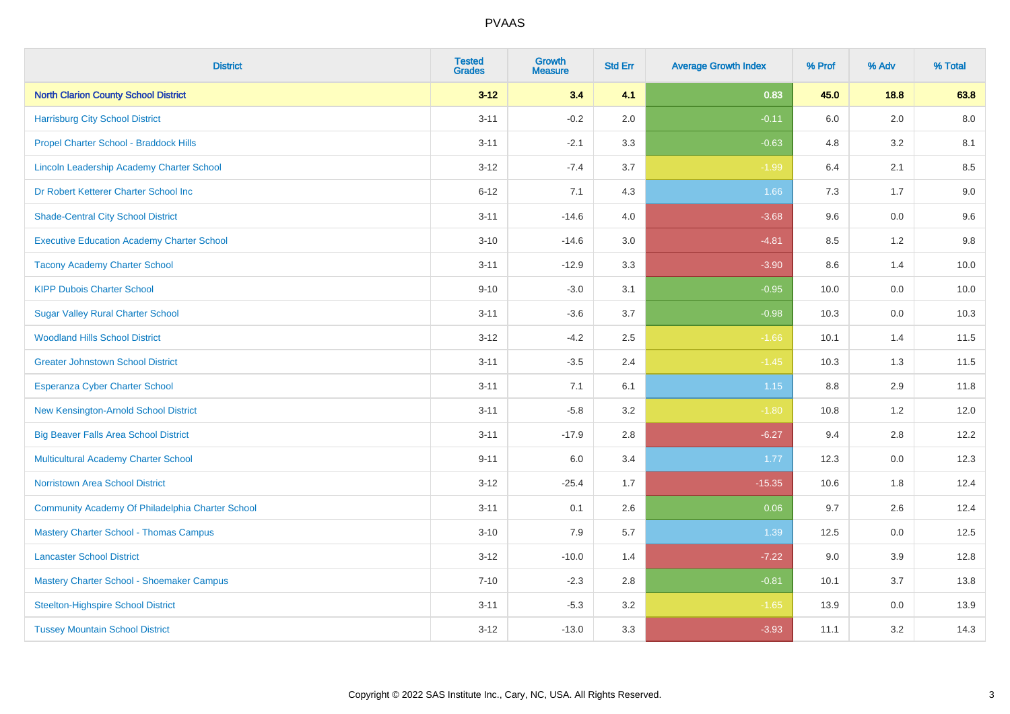| <b>District</b>                                   | <b>Tested</b><br><b>Grades</b> | <b>Growth</b><br><b>Measure</b> | <b>Std Err</b> | <b>Average Growth Index</b> | % Prof  | % Adv | % Total |
|---------------------------------------------------|--------------------------------|---------------------------------|----------------|-----------------------------|---------|-------|---------|
| <b>North Clarion County School District</b>       | $3 - 12$                       | 3.4                             | 4.1            | 0.83                        | 45.0    | 18.8  | 63.8    |
| <b>Harrisburg City School District</b>            | $3 - 11$                       | $-0.2$                          | 2.0            | $-0.11$                     | $6.0\,$ | 2.0   | 8.0     |
| Propel Charter School - Braddock Hills            | $3 - 11$                       | $-2.1$                          | 3.3            | $-0.63$                     | 4.8     | 3.2   | 8.1     |
| Lincoln Leadership Academy Charter School         | $3 - 12$                       | $-7.4$                          | 3.7            | $-1.99$                     | 6.4     | 2.1   | 8.5     |
| Dr Robert Ketterer Charter School Inc             | $6 - 12$                       | 7.1                             | 4.3            | 1.66                        | 7.3     | 1.7   | $9.0\,$ |
| <b>Shade-Central City School District</b>         | $3 - 11$                       | $-14.6$                         | 4.0            | $-3.68$                     | 9.6     | 0.0   | 9.6     |
| <b>Executive Education Academy Charter School</b> | $3 - 10$                       | $-14.6$                         | 3.0            | $-4.81$                     | 8.5     | 1.2   | 9.8     |
| <b>Tacony Academy Charter School</b>              | $3 - 11$                       | $-12.9$                         | 3.3            | $-3.90$                     | 8.6     | 1.4   | 10.0    |
| <b>KIPP Dubois Charter School</b>                 | $9 - 10$                       | $-3.0$                          | 3.1            | $-0.95$                     | 10.0    | 0.0   | 10.0    |
| <b>Sugar Valley Rural Charter School</b>          | $3 - 11$                       | $-3.6$                          | 3.7            | $-0.98$                     | 10.3    | 0.0   | 10.3    |
| <b>Woodland Hills School District</b>             | $3 - 12$                       | $-4.2$                          | 2.5            | $-1.66$                     | 10.1    | 1.4   | 11.5    |
| <b>Greater Johnstown School District</b>          | $3 - 11$                       | $-3.5$                          | 2.4            | $-1.45$                     | 10.3    | 1.3   | 11.5    |
| Esperanza Cyber Charter School                    | $3 - 11$                       | 7.1                             | 6.1            | 1.15                        | $8.8\,$ | 2.9   | 11.8    |
| New Kensington-Arnold School District             | $3 - 11$                       | $-5.8$                          | 3.2            | $-1.80$                     | 10.8    | 1.2   | 12.0    |
| <b>Big Beaver Falls Area School District</b>      | $3 - 11$                       | $-17.9$                         | 2.8            | $-6.27$                     | 9.4     | 2.8   | 12.2    |
| <b>Multicultural Academy Charter School</b>       | $9 - 11$                       | 6.0                             | 3.4            | 1.77                        | 12.3    | 0.0   | 12.3    |
| <b>Norristown Area School District</b>            | $3 - 12$                       | $-25.4$                         | 1.7            | $-15.35$                    | 10.6    | 1.8   | 12.4    |
| Community Academy Of Philadelphia Charter School  | $3 - 11$                       | 0.1                             | 2.6            | 0.06                        | 9.7     | 2.6   | 12.4    |
| <b>Mastery Charter School - Thomas Campus</b>     | $3 - 10$                       | 7.9                             | 5.7            | 1.39                        | 12.5    | 0.0   | 12.5    |
| <b>Lancaster School District</b>                  | $3 - 12$                       | $-10.0$                         | 1.4            | $-7.22$                     | 9.0     | 3.9   | 12.8    |
| Mastery Charter School - Shoemaker Campus         | $7 - 10$                       | $-2.3$                          | 2.8            | $-0.81$                     | 10.1    | 3.7   | 13.8    |
| <b>Steelton-Highspire School District</b>         | $3 - 11$                       | $-5.3$                          | 3.2            | $-1.65$                     | 13.9    | 0.0   | 13.9    |
| <b>Tussey Mountain School District</b>            | $3 - 12$                       | $-13.0$                         | 3.3            | $-3.93$                     | 11.1    | 3.2   | 14.3    |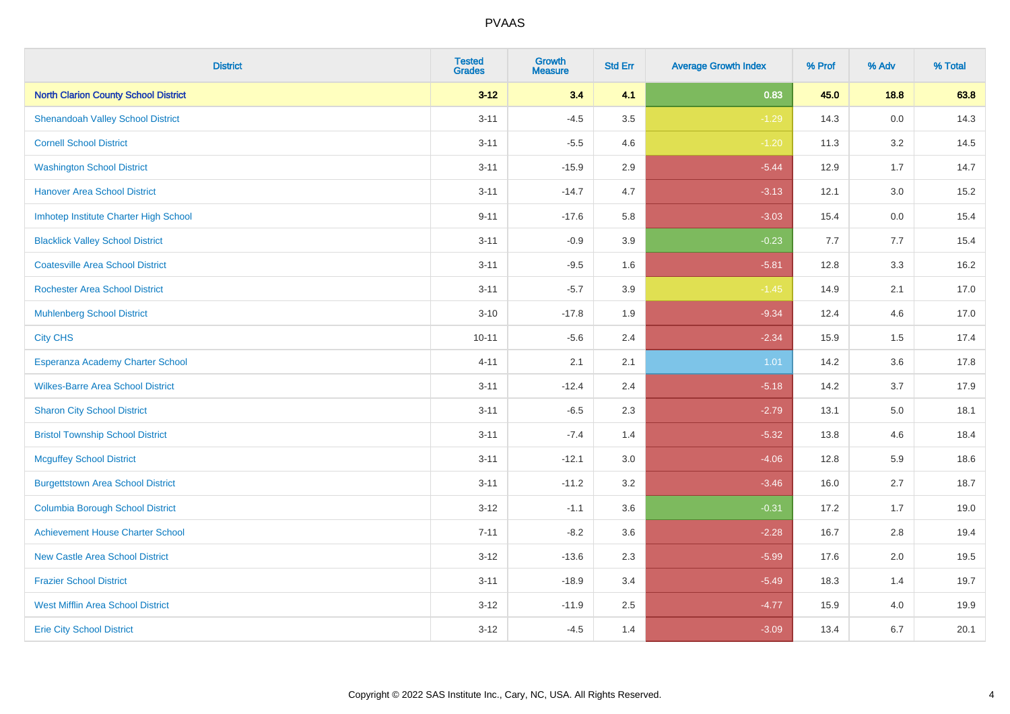| <b>District</b>                             | <b>Tested</b><br><b>Grades</b> | <b>Growth</b><br><b>Measure</b> | <b>Std Err</b> | <b>Average Growth Index</b> | % Prof | % Adv   | % Total |
|---------------------------------------------|--------------------------------|---------------------------------|----------------|-----------------------------|--------|---------|---------|
| <b>North Clarion County School District</b> | $3 - 12$                       | 3.4                             | 4.1            | 0.83                        | 45.0   | 18.8    | 63.8    |
| <b>Shenandoah Valley School District</b>    | $3 - 11$                       | $-4.5$                          | 3.5            | $-1.29$                     | 14.3   | $0.0\,$ | 14.3    |
| <b>Cornell School District</b>              | $3 - 11$                       | $-5.5$                          | 4.6            | $-1.20$                     | 11.3   | 3.2     | 14.5    |
| <b>Washington School District</b>           | $3 - 11$                       | $-15.9$                         | 2.9            | $-5.44$                     | 12.9   | 1.7     | 14.7    |
| <b>Hanover Area School District</b>         | $3 - 11$                       | $-14.7$                         | 4.7            | $-3.13$                     | 12.1   | 3.0     | 15.2    |
| Imhotep Institute Charter High School       | $9 - 11$                       | $-17.6$                         | 5.8            | $-3.03$                     | 15.4   | 0.0     | 15.4    |
| <b>Blacklick Valley School District</b>     | $3 - 11$                       | $-0.9$                          | 3.9            | $-0.23$                     | 7.7    | 7.7     | 15.4    |
| <b>Coatesville Area School District</b>     | $3 - 11$                       | $-9.5$                          | 1.6            | $-5.81$                     | 12.8   | 3.3     | 16.2    |
| <b>Rochester Area School District</b>       | $3 - 11$                       | $-5.7$                          | 3.9            | $-1.45$                     | 14.9   | 2.1     | 17.0    |
| <b>Muhlenberg School District</b>           | $3 - 10$                       | $-17.8$                         | 1.9            | $-9.34$                     | 12.4   | 4.6     | 17.0    |
| <b>City CHS</b>                             | $10 - 11$                      | $-5.6$                          | 2.4            | $-2.34$                     | 15.9   | 1.5     | 17.4    |
| Esperanza Academy Charter School            | $4 - 11$                       | 2.1                             | 2.1            | 1.01                        | 14.2   | 3.6     | 17.8    |
| <b>Wilkes-Barre Area School District</b>    | $3 - 11$                       | $-12.4$                         | 2.4            | $-5.18$                     | 14.2   | 3.7     | 17.9    |
| <b>Sharon City School District</b>          | $3 - 11$                       | $-6.5$                          | 2.3            | $-2.79$                     | 13.1   | 5.0     | 18.1    |
| <b>Bristol Township School District</b>     | $3 - 11$                       | $-7.4$                          | 1.4            | $-5.32$                     | 13.8   | 4.6     | 18.4    |
| <b>Mcguffey School District</b>             | $3 - 11$                       | $-12.1$                         | 3.0            | $-4.06$                     | 12.8   | 5.9     | 18.6    |
| <b>Burgettstown Area School District</b>    | $3 - 11$                       | $-11.2$                         | 3.2            | $-3.46$                     | 16.0   | 2.7     | 18.7    |
| <b>Columbia Borough School District</b>     | $3 - 12$                       | $-1.1$                          | 3.6            | $-0.31$                     | 17.2   | 1.7     | 19.0    |
| <b>Achievement House Charter School</b>     | $7 - 11$                       | $-8.2$                          | 3.6            | $-2.28$                     | 16.7   | 2.8     | 19.4    |
| <b>New Castle Area School District</b>      | $3 - 12$                       | $-13.6$                         | 2.3            | $-5.99$                     | 17.6   | 2.0     | 19.5    |
| <b>Frazier School District</b>              | $3 - 11$                       | $-18.9$                         | 3.4            | $-5.49$                     | 18.3   | 1.4     | 19.7    |
| <b>West Mifflin Area School District</b>    | $3 - 12$                       | $-11.9$                         | 2.5            | $-4.77$                     | 15.9   | 4.0     | 19.9    |
| <b>Erie City School District</b>            | $3 - 12$                       | $-4.5$                          | 1.4            | $-3.09$                     | 13.4   | 6.7     | 20.1    |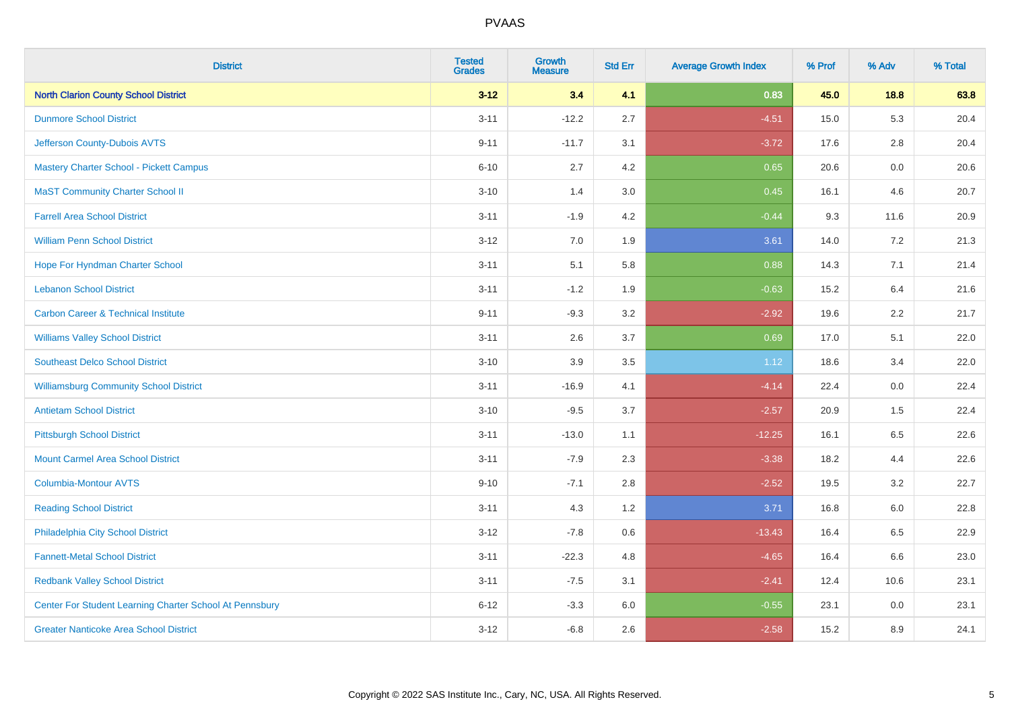| <b>District</b>                                         | <b>Tested</b><br><b>Grades</b> | Growth<br><b>Measure</b> | <b>Std Err</b> | <b>Average Growth Index</b> | % Prof | % Adv   | % Total |
|---------------------------------------------------------|--------------------------------|--------------------------|----------------|-----------------------------|--------|---------|---------|
| <b>North Clarion County School District</b>             | $3 - 12$                       | 3.4                      | 4.1            | 0.83                        | 45.0   | 18.8    | 63.8    |
| <b>Dunmore School District</b>                          | $3 - 11$                       | $-12.2$                  | 2.7            | $-4.51$                     | 15.0   | 5.3     | 20.4    |
| Jefferson County-Dubois AVTS                            | $9 - 11$                       | $-11.7$                  | 3.1            | $-3.72$                     | 17.6   | 2.8     | 20.4    |
| Mastery Charter School - Pickett Campus                 | $6 - 10$                       | 2.7                      | 4.2            | 0.65                        | 20.6   | $0.0\,$ | 20.6    |
| <b>MaST Community Charter School II</b>                 | $3 - 10$                       | 1.4                      | 3.0            | 0.45                        | 16.1   | 4.6     | 20.7    |
| <b>Farrell Area School District</b>                     | $3 - 11$                       | $-1.9$                   | 4.2            | $-0.44$                     | 9.3    | 11.6    | 20.9    |
| <b>William Penn School District</b>                     | $3 - 12$                       | 7.0                      | 1.9            | 3.61                        | 14.0   | 7.2     | 21.3    |
| Hope For Hyndman Charter School                         | $3 - 11$                       | 5.1                      | 5.8            | 0.88                        | 14.3   | 7.1     | 21.4    |
| <b>Lebanon School District</b>                          | $3 - 11$                       | $-1.2$                   | 1.9            | $-0.63$                     | 15.2   | 6.4     | 21.6    |
| <b>Carbon Career &amp; Technical Institute</b>          | $9 - 11$                       | $-9.3$                   | 3.2            | $-2.92$                     | 19.6   | 2.2     | 21.7    |
| <b>Williams Valley School District</b>                  | $3 - 11$                       | 2.6                      | 3.7            | 0.69                        | 17.0   | 5.1     | 22.0    |
| <b>Southeast Delco School District</b>                  | $3 - 10$                       | 3.9                      | 3.5            | 1.12                        | 18.6   | 3.4     | 22.0    |
| <b>Williamsburg Community School District</b>           | $3 - 11$                       | $-16.9$                  | 4.1            | $-4.14$                     | 22.4   | 0.0     | 22.4    |
| <b>Antietam School District</b>                         | $3 - 10$                       | $-9.5$                   | 3.7            | $-2.57$                     | 20.9   | 1.5     | 22.4    |
| <b>Pittsburgh School District</b>                       | $3 - 11$                       | $-13.0$                  | 1.1            | $-12.25$                    | 16.1   | 6.5     | 22.6    |
| <b>Mount Carmel Area School District</b>                | $3 - 11$                       | $-7.9$                   | 2.3            | $-3.38$                     | 18.2   | 4.4     | 22.6    |
| Columbia-Montour AVTS                                   | $9 - 10$                       | $-7.1$                   | 2.8            | $-2.52$                     | 19.5   | 3.2     | 22.7    |
| <b>Reading School District</b>                          | $3 - 11$                       | 4.3                      | 1.2            | 3.71                        | 16.8   | 6.0     | 22.8    |
| Philadelphia City School District                       | $3 - 12$                       | $-7.8$                   | 0.6            | $-13.43$                    | 16.4   | 6.5     | 22.9    |
| <b>Fannett-Metal School District</b>                    | $3 - 11$                       | $-22.3$                  | 4.8            | $-4.65$                     | 16.4   | 6.6     | 23.0    |
| <b>Redbank Valley School District</b>                   | $3 - 11$                       | $-7.5$                   | 3.1            | $-2.41$                     | 12.4   | 10.6    | 23.1    |
| Center For Student Learning Charter School At Pennsbury | $6 - 12$                       | $-3.3$                   | 6.0            | $-0.55$                     | 23.1   | 0.0     | 23.1    |
| <b>Greater Nanticoke Area School District</b>           | $3 - 12$                       | $-6.8$                   | 2.6            | $-2.58$                     | 15.2   | 8.9     | 24.1    |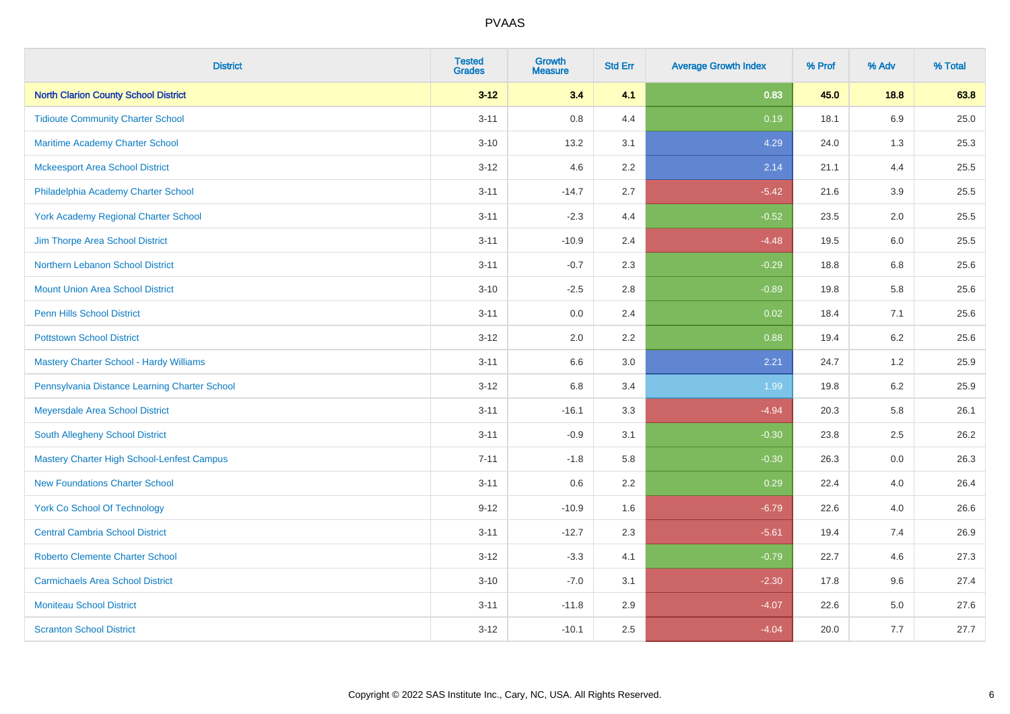| <b>District</b>                                   | <b>Tested</b><br><b>Grades</b> | <b>Growth</b><br><b>Measure</b> | <b>Std Err</b> | <b>Average Growth Index</b> | % Prof | % Adv   | % Total |
|---------------------------------------------------|--------------------------------|---------------------------------|----------------|-----------------------------|--------|---------|---------|
| <b>North Clarion County School District</b>       | $3 - 12$                       | 3.4                             | 4.1            | 0.83                        | 45.0   | 18.8    | 63.8    |
| <b>Tidioute Community Charter School</b>          | $3 - 11$                       | $0.8\,$                         | 4.4            | 0.19                        | 18.1   | 6.9     | 25.0    |
| <b>Maritime Academy Charter School</b>            | $3 - 10$                       | 13.2                            | 3.1            | 4.29                        | 24.0   | 1.3     | 25.3    |
| <b>Mckeesport Area School District</b>            | $3 - 12$                       | 4.6                             | 2.2            | 2.14                        | 21.1   | 4.4     | 25.5    |
| Philadelphia Academy Charter School               | $3 - 11$                       | $-14.7$                         | 2.7            | $-5.42$                     | 21.6   | 3.9     | 25.5    |
| <b>York Academy Regional Charter School</b>       | $3 - 11$                       | $-2.3$                          | 4.4            | $-0.52$                     | 23.5   | 2.0     | 25.5    |
| Jim Thorpe Area School District                   | $3 - 11$                       | $-10.9$                         | 2.4            | $-4.48$                     | 19.5   | 6.0     | 25.5    |
| Northern Lebanon School District                  | $3 - 11$                       | $-0.7$                          | 2.3            | $-0.29$                     | 18.8   | 6.8     | 25.6    |
| <b>Mount Union Area School District</b>           | $3 - 10$                       | $-2.5$                          | 2.8            | $-0.89$                     | 19.8   | 5.8     | 25.6    |
| <b>Penn Hills School District</b>                 | $3 - 11$                       | 0.0                             | 2.4            | 0.02                        | 18.4   | 7.1     | 25.6    |
| <b>Pottstown School District</b>                  | $3 - 12$                       | 2.0                             | 2.2            | 0.88                        | 19.4   | 6.2     | 25.6    |
| Mastery Charter School - Hardy Williams           | $3 - 11$                       | 6.6                             | 3.0            | 2.21                        | 24.7   | 1.2     | 25.9    |
| Pennsylvania Distance Learning Charter School     | $3 - 12$                       | $6.8\,$                         | 3.4            | 1.99                        | 19.8   | $6.2\,$ | 25.9    |
| Meyersdale Area School District                   | $3 - 11$                       | $-16.1$                         | 3.3            | $-4.94$                     | 20.3   | 5.8     | 26.1    |
| South Allegheny School District                   | $3 - 11$                       | $-0.9$                          | 3.1            | $-0.30$                     | 23.8   | 2.5     | 26.2    |
| <b>Mastery Charter High School-Lenfest Campus</b> | $7 - 11$                       | $-1.8$                          | 5.8            | $-0.30$                     | 26.3   | $0.0\,$ | 26.3    |
| <b>New Foundations Charter School</b>             | $3 - 11$                       | 0.6                             | 2.2            | 0.29                        | 22.4   | 4.0     | 26.4    |
| <b>York Co School Of Technology</b>               | $9 - 12$                       | $-10.9$                         | 1.6            | $-6.79$                     | 22.6   | 4.0     | 26.6    |
| <b>Central Cambria School District</b>            | $3 - 11$                       | $-12.7$                         | 2.3            | $-5.61$                     | 19.4   | 7.4     | 26.9    |
| <b>Roberto Clemente Charter School</b>            | $3 - 12$                       | $-3.3$                          | 4.1            | $-0.79$                     | 22.7   | 4.6     | 27.3    |
| <b>Carmichaels Area School District</b>           | $3 - 10$                       | $-7.0$                          | 3.1            | $-2.30$                     | 17.8   | 9.6     | 27.4    |
| <b>Moniteau School District</b>                   | $3 - 11$                       | $-11.8$                         | 2.9            | $-4.07$                     | 22.6   | 5.0     | 27.6    |
| <b>Scranton School District</b>                   | $3 - 12$                       | $-10.1$                         | 2.5            | $-4.04$                     | 20.0   | 7.7     | 27.7    |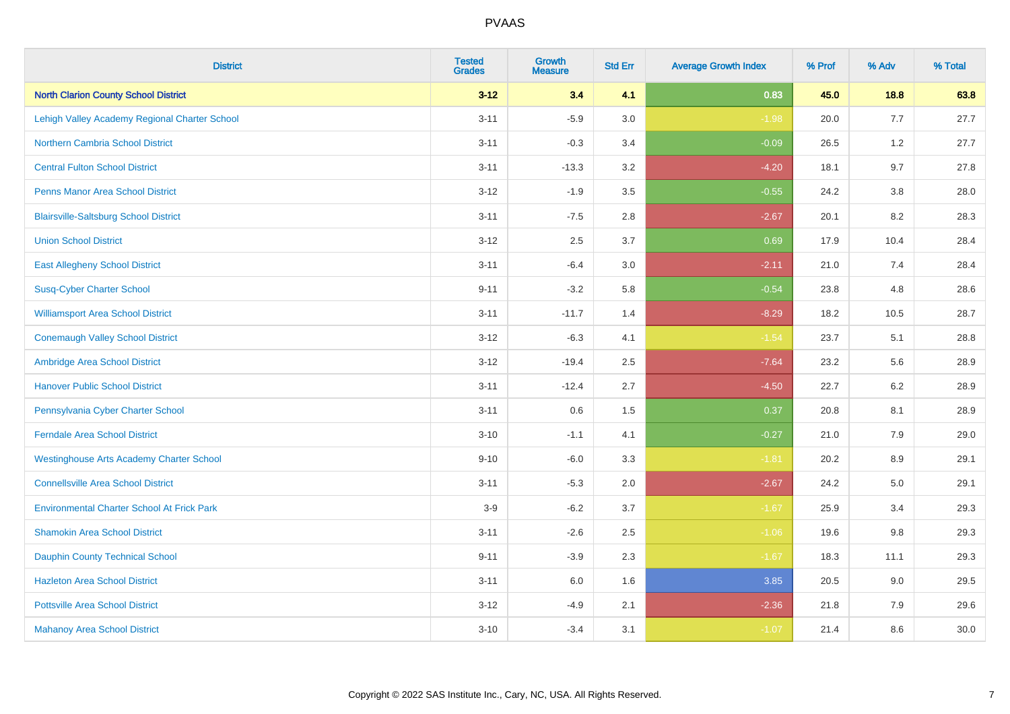| <b>District</b>                                   | <b>Tested</b><br><b>Grades</b> | <b>Growth</b><br><b>Measure</b> | <b>Std Err</b> | <b>Average Growth Index</b> | % Prof | % Adv   | % Total |
|---------------------------------------------------|--------------------------------|---------------------------------|----------------|-----------------------------|--------|---------|---------|
| <b>North Clarion County School District</b>       | $3 - 12$                       | 3.4                             | 4.1            | 0.83                        | 45.0   | 18.8    | 63.8    |
| Lehigh Valley Academy Regional Charter School     | $3 - 11$                       | $-5.9$                          | 3.0            | $-1.98$                     | 20.0   | 7.7     | 27.7    |
| <b>Northern Cambria School District</b>           | $3 - 11$                       | $-0.3$                          | 3.4            | $-0.09$                     | 26.5   | 1.2     | 27.7    |
| <b>Central Fulton School District</b>             | $3 - 11$                       | $-13.3$                         | 3.2            | $-4.20$                     | 18.1   | 9.7     | 27.8    |
| <b>Penns Manor Area School District</b>           | $3 - 12$                       | $-1.9$                          | 3.5            | $-0.55$                     | 24.2   | 3.8     | 28.0    |
| <b>Blairsville-Saltsburg School District</b>      | $3 - 11$                       | $-7.5$                          | 2.8            | $-2.67$                     | 20.1   | 8.2     | 28.3    |
| <b>Union School District</b>                      | $3 - 12$                       | 2.5                             | 3.7            | 0.69                        | 17.9   | 10.4    | 28.4    |
| <b>East Allegheny School District</b>             | $3 - 11$                       | $-6.4$                          | 3.0            | $-2.11$                     | 21.0   | 7.4     | 28.4    |
| <b>Susq-Cyber Charter School</b>                  | $9 - 11$                       | $-3.2$                          | 5.8            | $-0.54$                     | 23.8   | 4.8     | 28.6    |
| <b>Williamsport Area School District</b>          | $3 - 11$                       | $-11.7$                         | 1.4            | $-8.29$                     | 18.2   | 10.5    | 28.7    |
| <b>Conemaugh Valley School District</b>           | $3 - 12$                       | $-6.3$                          | 4.1            | $-1.54$                     | 23.7   | 5.1     | 28.8    |
| Ambridge Area School District                     | $3 - 12$                       | $-19.4$                         | 2.5            | $-7.64$                     | 23.2   | 5.6     | 28.9    |
| <b>Hanover Public School District</b>             | $3 - 11$                       | $-12.4$                         | 2.7            | $-4.50$                     | 22.7   | $6.2\,$ | 28.9    |
| Pennsylvania Cyber Charter School                 | $3 - 11$                       | 0.6                             | 1.5            | 0.37                        | 20.8   | 8.1     | 28.9    |
| <b>Ferndale Area School District</b>              | $3 - 10$                       | $-1.1$                          | 4.1            | $-0.27$                     | 21.0   | 7.9     | 29.0    |
| <b>Westinghouse Arts Academy Charter School</b>   | $9 - 10$                       | $-6.0$                          | 3.3            | $-1.81$                     | 20.2   | $8.9\,$ | 29.1    |
| <b>Connellsville Area School District</b>         | $3 - 11$                       | $-5.3$                          | 2.0            | $-2.67$                     | 24.2   | 5.0     | 29.1    |
| <b>Environmental Charter School At Frick Park</b> | $3-9$                          | $-6.2$                          | 3.7            | $-1.67$                     | 25.9   | 3.4     | 29.3    |
| <b>Shamokin Area School District</b>              | $3 - 11$                       | $-2.6$                          | 2.5            | $-1.06$                     | 19.6   | $9.8\,$ | 29.3    |
| <b>Dauphin County Technical School</b>            | $9 - 11$                       | $-3.9$                          | 2.3            | $-1.67$                     | 18.3   | 11.1    | 29.3    |
| <b>Hazleton Area School District</b>              | $3 - 11$                       | 6.0                             | 1.6            | 3.85                        | 20.5   | 9.0     | 29.5    |
| <b>Pottsville Area School District</b>            | $3 - 12$                       | $-4.9$                          | 2.1            | $-2.36$                     | 21.8   | 7.9     | 29.6    |
| <b>Mahanoy Area School District</b>               | $3 - 10$                       | $-3.4$                          | 3.1            | $-1.07$                     | 21.4   | 8.6     | 30.0    |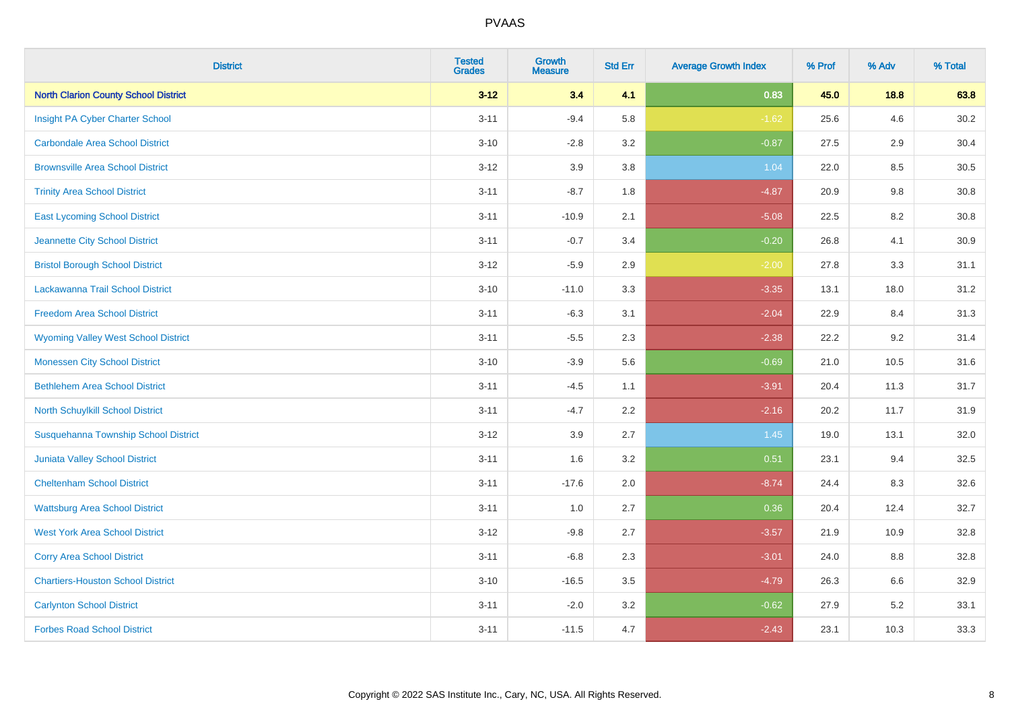| <b>District</b>                             | <b>Tested</b><br><b>Grades</b> | <b>Growth</b><br><b>Measure</b> | <b>Std Err</b> | <b>Average Growth Index</b> | % Prof | % Adv | % Total |
|---------------------------------------------|--------------------------------|---------------------------------|----------------|-----------------------------|--------|-------|---------|
| <b>North Clarion County School District</b> | $3 - 12$                       | 3.4                             | 4.1            | 0.83                        | 45.0   | 18.8  | 63.8    |
| Insight PA Cyber Charter School             | $3 - 11$                       | $-9.4$                          | 5.8            | $-1.62$                     | 25.6   | 4.6   | 30.2    |
| <b>Carbondale Area School District</b>      | $3 - 10$                       | $-2.8$                          | 3.2            | $-0.87$                     | 27.5   | 2.9   | 30.4    |
| <b>Brownsville Area School District</b>     | $3 - 12$                       | 3.9                             | 3.8            | 1.04                        | 22.0   | 8.5   | 30.5    |
| <b>Trinity Area School District</b>         | $3 - 11$                       | $-8.7$                          | 1.8            | $-4.87$                     | 20.9   | 9.8   | 30.8    |
| <b>East Lycoming School District</b>        | $3 - 11$                       | $-10.9$                         | 2.1            | $-5.08$                     | 22.5   | 8.2   | 30.8    |
| Jeannette City School District              | $3 - 11$                       | $-0.7$                          | 3.4            | $-0.20$                     | 26.8   | 4.1   | 30.9    |
| <b>Bristol Borough School District</b>      | $3 - 12$                       | $-5.9$                          | 2.9            | $-2.00$                     | 27.8   | 3.3   | 31.1    |
| Lackawanna Trail School District            | $3 - 10$                       | $-11.0$                         | 3.3            | $-3.35$                     | 13.1   | 18.0  | 31.2    |
| <b>Freedom Area School District</b>         | $3 - 11$                       | $-6.3$                          | 3.1            | $-2.04$                     | 22.9   | 8.4   | 31.3    |
| <b>Wyoming Valley West School District</b>  | $3 - 11$                       | $-5.5$                          | 2.3            | $-2.38$                     | 22.2   | 9.2   | 31.4    |
| <b>Monessen City School District</b>        | $3 - 10$                       | $-3.9$                          | 5.6            | $-0.69$                     | 21.0   | 10.5  | 31.6    |
| <b>Bethlehem Area School District</b>       | $3 - 11$                       | $-4.5$                          | 1.1            | $-3.91$                     | 20.4   | 11.3  | 31.7    |
| North Schuylkill School District            | $3 - 11$                       | $-4.7$                          | 2.2            | $-2.16$                     | 20.2   | 11.7  | 31.9    |
| Susquehanna Township School District        | $3 - 12$                       | 3.9                             | 2.7            | 1.45                        | 19.0   | 13.1  | 32.0    |
| <b>Juniata Valley School District</b>       | $3 - 11$                       | 1.6                             | 3.2            | 0.51                        | 23.1   | 9.4   | 32.5    |
| <b>Cheltenham School District</b>           | $3 - 11$                       | $-17.6$                         | 2.0            | $-8.74$                     | 24.4   | 8.3   | 32.6    |
| <b>Wattsburg Area School District</b>       | $3 - 11$                       | 1.0                             | 2.7            | 0.36                        | 20.4   | 12.4  | 32.7    |
| <b>West York Area School District</b>       | $3 - 12$                       | $-9.8$                          | 2.7            | $-3.57$                     | 21.9   | 10.9  | 32.8    |
| <b>Corry Area School District</b>           | $3 - 11$                       | $-6.8$                          | 2.3            | $-3.01$                     | 24.0   | 8.8   | 32.8    |
| <b>Chartiers-Houston School District</b>    | $3 - 10$                       | $-16.5$                         | 3.5            | $-4.79$                     | 26.3   | 6.6   | 32.9    |
| <b>Carlynton School District</b>            | $3 - 11$                       | $-2.0$                          | 3.2            | $-0.62$                     | 27.9   | 5.2   | 33.1    |
| <b>Forbes Road School District</b>          | $3 - 11$                       | $-11.5$                         | 4.7            | $-2.43$                     | 23.1   | 10.3  | 33.3    |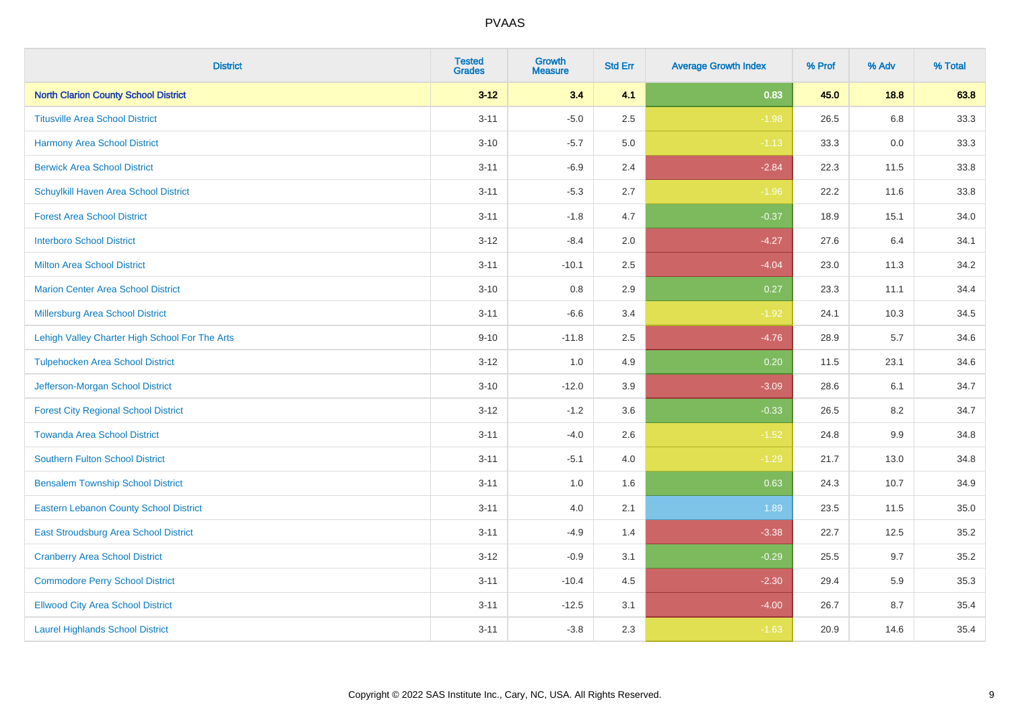| <b>District</b>                                | <b>Tested</b><br><b>Grades</b> | <b>Growth</b><br><b>Measure</b> | <b>Std Err</b> | <b>Average Growth Index</b> | % Prof | % Adv   | % Total |
|------------------------------------------------|--------------------------------|---------------------------------|----------------|-----------------------------|--------|---------|---------|
| <b>North Clarion County School District</b>    | $3 - 12$                       | 3.4                             | 4.1            | 0.83                        | 45.0   | 18.8    | 63.8    |
| <b>Titusville Area School District</b>         | $3 - 11$                       | $-5.0$                          | 2.5            | $-1.98$                     | 26.5   | 6.8     | 33.3    |
| <b>Harmony Area School District</b>            | $3 - 10$                       | $-5.7$                          | 5.0            | $-1.13$                     | 33.3   | 0.0     | 33.3    |
| <b>Berwick Area School District</b>            | $3 - 11$                       | $-6.9$                          | 2.4            | $-2.84$                     | 22.3   | 11.5    | 33.8    |
| Schuylkill Haven Area School District          | $3 - 11$                       | $-5.3$                          | 2.7            | $-1.96$                     | 22.2   | 11.6    | 33.8    |
| <b>Forest Area School District</b>             | $3 - 11$                       | $-1.8$                          | 4.7            | $-0.37$                     | 18.9   | 15.1    | 34.0    |
| <b>Interboro School District</b>               | $3 - 12$                       | $-8.4$                          | 2.0            | $-4.27$                     | 27.6   | 6.4     | 34.1    |
| <b>Milton Area School District</b>             | $3 - 11$                       | $-10.1$                         | 2.5            | $-4.04$                     | 23.0   | 11.3    | 34.2    |
| <b>Marion Center Area School District</b>      | $3 - 10$                       | 0.8                             | 2.9            | 0.27                        | 23.3   | 11.1    | 34.4    |
| Millersburg Area School District               | $3 - 11$                       | $-6.6$                          | 3.4            | $-1.92$                     | 24.1   | 10.3    | 34.5    |
| Lehigh Valley Charter High School For The Arts | $9 - 10$                       | $-11.8$                         | 2.5            | $-4.76$                     | 28.9   | 5.7     | 34.6    |
| <b>Tulpehocken Area School District</b>        | $3 - 12$                       | 1.0                             | 4.9            | 0.20                        | 11.5   | 23.1    | 34.6    |
| Jefferson-Morgan School District               | $3 - 10$                       | $-12.0$                         | 3.9            | $-3.09$                     | 28.6   | 6.1     | 34.7    |
| <b>Forest City Regional School District</b>    | $3 - 12$                       | $-1.2$                          | 3.6            | $-0.33$                     | 26.5   | 8.2     | 34.7    |
| <b>Towanda Area School District</b>            | $3 - 11$                       | $-4.0$                          | 2.6            | $-1.52$                     | 24.8   | $9.9\,$ | 34.8    |
| Southern Fulton School District                | $3 - 11$                       | $-5.1$                          | 4.0            | $-1.29$                     | 21.7   | 13.0    | 34.8    |
| <b>Bensalem Township School District</b>       | $3 - 11$                       | 1.0                             | 1.6            | 0.63                        | 24.3   | 10.7    | 34.9    |
| <b>Eastern Lebanon County School District</b>  | $3 - 11$                       | 4.0                             | 2.1            | 1.89                        | 23.5   | 11.5    | 35.0    |
| East Stroudsburg Area School District          | $3 - 11$                       | $-4.9$                          | 1.4            | $-3.38$                     | 22.7   | 12.5    | 35.2    |
| <b>Cranberry Area School District</b>          | $3 - 12$                       | $-0.9$                          | 3.1            | $-0.29$                     | 25.5   | 9.7     | 35.2    |
| <b>Commodore Perry School District</b>         | $3 - 11$                       | $-10.4$                         | 4.5            | $-2.30$                     | 29.4   | 5.9     | 35.3    |
| <b>Ellwood City Area School District</b>       | $3 - 11$                       | $-12.5$                         | 3.1            | $-4.00$                     | 26.7   | 8.7     | 35.4    |
| <b>Laurel Highlands School District</b>        | $3 - 11$                       | $-3.8$                          | 2.3            | $-1.63$                     | 20.9   | 14.6    | 35.4    |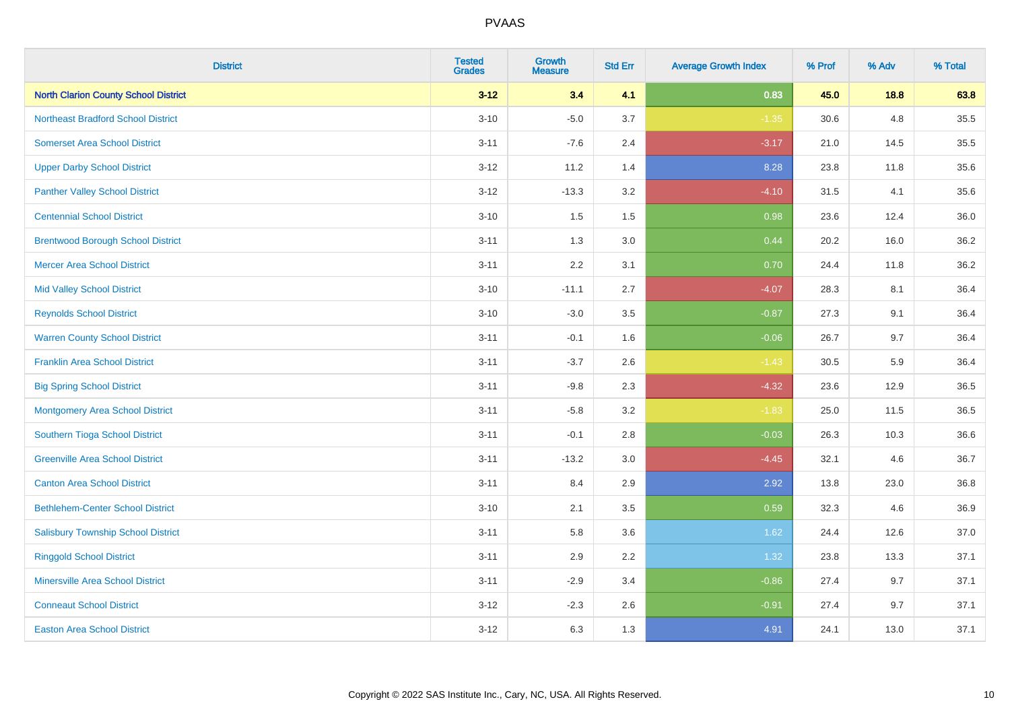| <b>District</b>                             | <b>Tested</b><br><b>Grades</b> | <b>Growth</b><br><b>Measure</b> | <b>Std Err</b> | <b>Average Growth Index</b> | % Prof | % Adv | % Total |
|---------------------------------------------|--------------------------------|---------------------------------|----------------|-----------------------------|--------|-------|---------|
| <b>North Clarion County School District</b> | $3 - 12$                       | 3.4                             | 4.1            | 0.83                        | 45.0   | 18.8  | 63.8    |
| <b>Northeast Bradford School District</b>   | $3 - 10$                       | $-5.0$                          | 3.7            | $-1.35$                     | 30.6   | 4.8   | 35.5    |
| <b>Somerset Area School District</b>        | $3 - 11$                       | $-7.6$                          | 2.4            | $-3.17$                     | 21.0   | 14.5  | 35.5    |
| <b>Upper Darby School District</b>          | $3 - 12$                       | 11.2                            | 1.4            | 8.28                        | 23.8   | 11.8  | 35.6    |
| <b>Panther Valley School District</b>       | $3-12$                         | $-13.3$                         | 3.2            | $-4.10$                     | 31.5   | 4.1   | 35.6    |
| <b>Centennial School District</b>           | $3 - 10$                       | 1.5                             | 1.5            | 0.98                        | 23.6   | 12.4  | 36.0    |
| <b>Brentwood Borough School District</b>    | $3 - 11$                       | 1.3                             | 3.0            | 0.44                        | 20.2   | 16.0  | 36.2    |
| <b>Mercer Area School District</b>          | $3 - 11$                       | 2.2                             | 3.1            | 0.70                        | 24.4   | 11.8  | 36.2    |
| <b>Mid Valley School District</b>           | $3 - 10$                       | $-11.1$                         | 2.7            | $-4.07$                     | 28.3   | 8.1   | 36.4    |
| <b>Reynolds School District</b>             | $3 - 10$                       | $-3.0$                          | 3.5            | $-0.87$                     | 27.3   | 9.1   | 36.4    |
| <b>Warren County School District</b>        | $3 - 11$                       | $-0.1$                          | 1.6            | $-0.06$                     | 26.7   | 9.7   | 36.4    |
| <b>Franklin Area School District</b>        | $3 - 11$                       | $-3.7$                          | 2.6            | $-1.43$                     | 30.5   | 5.9   | 36.4    |
| <b>Big Spring School District</b>           | $3 - 11$                       | $-9.8$                          | 2.3            | $-4.32$                     | 23.6   | 12.9  | 36.5    |
| <b>Montgomery Area School District</b>      | $3 - 11$                       | $-5.8$                          | 3.2            | $-1.83$                     | 25.0   | 11.5  | 36.5    |
| Southern Tioga School District              | $3 - 11$                       | $-0.1$                          | 2.8            | $-0.03$                     | 26.3   | 10.3  | 36.6    |
| <b>Greenville Area School District</b>      | $3 - 11$                       | $-13.2$                         | 3.0            | $-4.45$                     | 32.1   | 4.6   | 36.7    |
| <b>Canton Area School District</b>          | $3 - 11$                       | 8.4                             | 2.9            | 2.92                        | 13.8   | 23.0  | 36.8    |
| <b>Bethlehem-Center School District</b>     | $3 - 10$                       | 2.1                             | 3.5            | 0.59                        | 32.3   | 4.6   | 36.9    |
| <b>Salisbury Township School District</b>   | $3 - 11$                       | 5.8                             | 3.6            | 1.62                        | 24.4   | 12.6  | 37.0    |
| <b>Ringgold School District</b>             | $3 - 11$                       | 2.9                             | 2.2            | 1.32                        | 23.8   | 13.3  | 37.1    |
| <b>Minersville Area School District</b>     | $3 - 11$                       | $-2.9$                          | 3.4            | $-0.86$                     | 27.4   | 9.7   | 37.1    |
| <b>Conneaut School District</b>             | $3-12$                         | $-2.3$                          | 2.6            | $-0.91$                     | 27.4   | 9.7   | 37.1    |
| <b>Easton Area School District</b>          | $3 - 12$                       | 6.3                             | 1.3            | 4.91                        | 24.1   | 13.0  | 37.1    |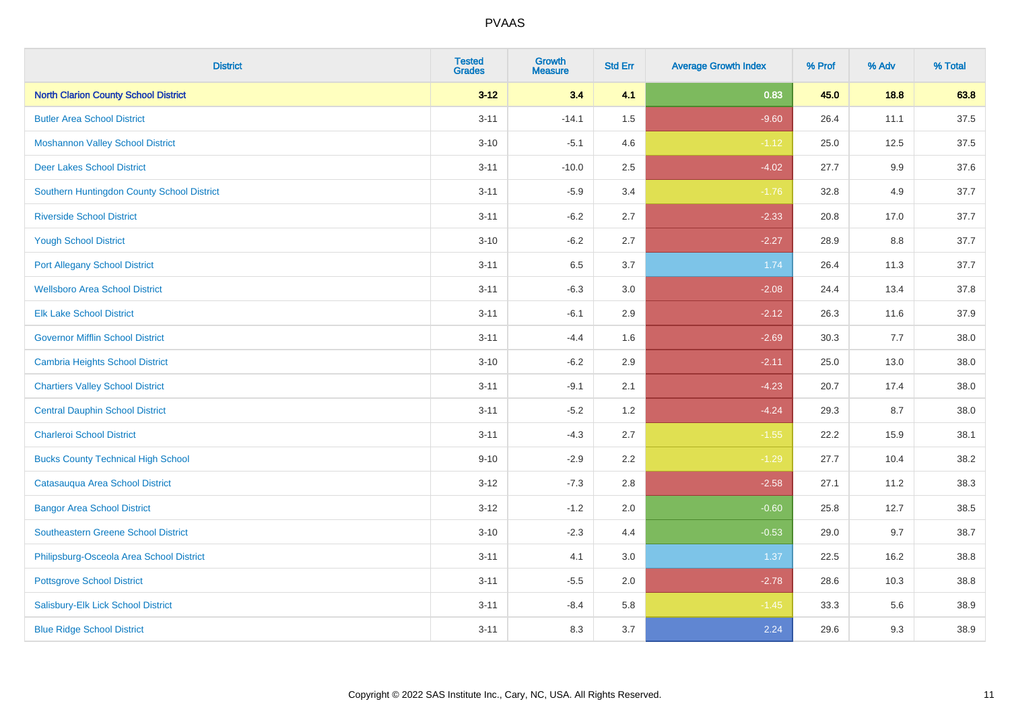| <b>District</b>                             | <b>Tested</b><br><b>Grades</b> | <b>Growth</b><br><b>Measure</b> | <b>Std Err</b> | <b>Average Growth Index</b> | % Prof | % Adv   | % Total |
|---------------------------------------------|--------------------------------|---------------------------------|----------------|-----------------------------|--------|---------|---------|
| <b>North Clarion County School District</b> | $3 - 12$                       | 3.4                             | 4.1            | 0.83                        | 45.0   | 18.8    | 63.8    |
| <b>Butler Area School District</b>          | $3 - 11$                       | $-14.1$                         | $1.5$          | $-9.60$                     | 26.4   | 11.1    | 37.5    |
| <b>Moshannon Valley School District</b>     | $3 - 10$                       | $-5.1$                          | 4.6            | $-1.12$                     | 25.0   | 12.5    | 37.5    |
| <b>Deer Lakes School District</b>           | $3 - 11$                       | $-10.0$                         | 2.5            | $-4.02$                     | 27.7   | $9.9\,$ | 37.6    |
| Southern Huntingdon County School District  | $3 - 11$                       | $-5.9$                          | 3.4            | $-1.76$                     | 32.8   | 4.9     | 37.7    |
| <b>Riverside School District</b>            | $3 - 11$                       | $-6.2$                          | 2.7            | $-2.33$                     | 20.8   | 17.0    | 37.7    |
| <b>Yough School District</b>                | $3 - 10$                       | $-6.2$                          | 2.7            | $-2.27$                     | 28.9   | 8.8     | 37.7    |
| <b>Port Allegany School District</b>        | $3 - 11$                       | 6.5                             | 3.7            | 1.74                        | 26.4   | 11.3    | 37.7    |
| <b>Wellsboro Area School District</b>       | $3 - 11$                       | $-6.3$                          | 3.0            | $-2.08$                     | 24.4   | 13.4    | 37.8    |
| <b>Elk Lake School District</b>             | $3 - 11$                       | $-6.1$                          | 2.9            | $-2.12$                     | 26.3   | 11.6    | 37.9    |
| <b>Governor Mifflin School District</b>     | $3 - 11$                       | $-4.4$                          | 1.6            | $-2.69$                     | 30.3   | 7.7     | 38.0    |
| <b>Cambria Heights School District</b>      | $3 - 10$                       | $-6.2$                          | 2.9            | $-2.11$                     | 25.0   | 13.0    | 38.0    |
| <b>Chartiers Valley School District</b>     | $3 - 11$                       | $-9.1$                          | 2.1            | $-4.23$                     | 20.7   | 17.4    | 38.0    |
| <b>Central Dauphin School District</b>      | $3 - 11$                       | $-5.2$                          | 1.2            | $-4.24$                     | 29.3   | 8.7     | 38.0    |
| <b>Charleroi School District</b>            | $3 - 11$                       | $-4.3$                          | 2.7            | $-1.55$                     | 22.2   | 15.9    | 38.1    |
| <b>Bucks County Technical High School</b>   | $9 - 10$                       | $-2.9$                          | 2.2            | $-1.29$                     | 27.7   | 10.4    | 38.2    |
| Catasauqua Area School District             | $3 - 12$                       | $-7.3$                          | 2.8            | $-2.58$                     | 27.1   | 11.2    | 38.3    |
| <b>Bangor Area School District</b>          | $3 - 12$                       | $-1.2$                          | 2.0            | $-0.60$                     | 25.8   | 12.7    | 38.5    |
| Southeastern Greene School District         | $3 - 10$                       | $-2.3$                          | 4.4            | $-0.53$                     | 29.0   | 9.7     | 38.7    |
| Philipsburg-Osceola Area School District    | $3 - 11$                       | 4.1                             | 3.0            | 1.37                        | 22.5   | 16.2    | 38.8    |
| <b>Pottsgrove School District</b>           | $3 - 11$                       | $-5.5$                          | 2.0            | $-2.78$                     | 28.6   | 10.3    | 38.8    |
| Salisbury-Elk Lick School District          | $3 - 11$                       | $-8.4$                          | 5.8            | $-1.45$                     | 33.3   | 5.6     | 38.9    |
| <b>Blue Ridge School District</b>           | $3 - 11$                       | 8.3                             | 3.7            | 2.24                        | 29.6   | 9.3     | 38.9    |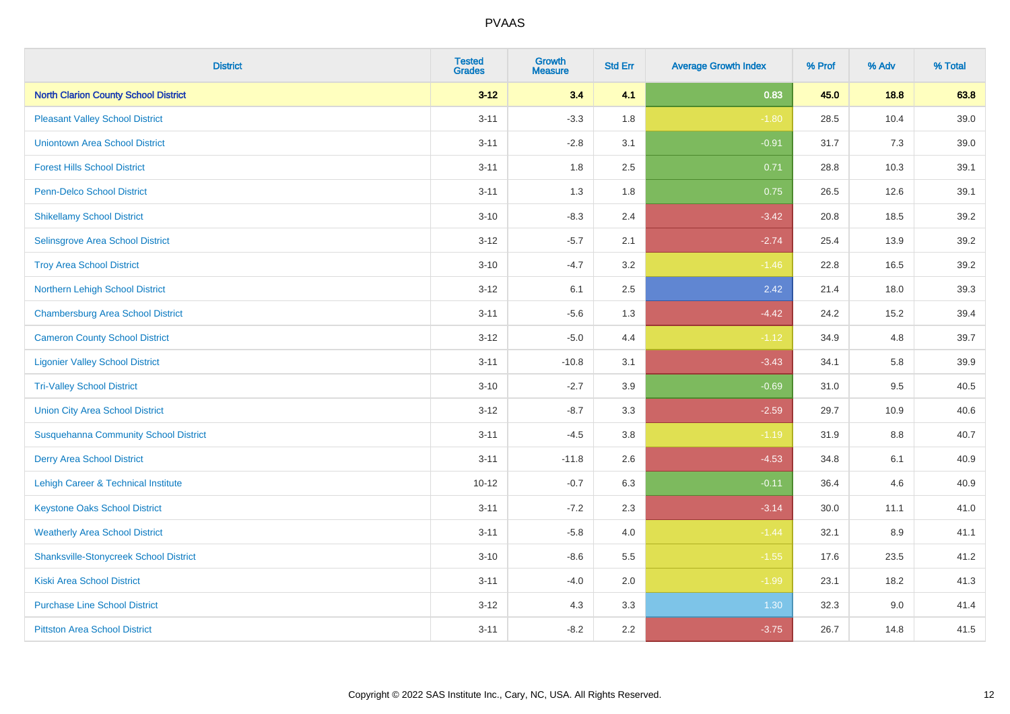| <b>District</b>                               | <b>Tested</b><br><b>Grades</b> | <b>Growth</b><br><b>Measure</b> | <b>Std Err</b> | <b>Average Growth Index</b> | % Prof | % Adv   | % Total |
|-----------------------------------------------|--------------------------------|---------------------------------|----------------|-----------------------------|--------|---------|---------|
| <b>North Clarion County School District</b>   | $3 - 12$                       | 3.4                             | 4.1            | 0.83                        | 45.0   | 18.8    | 63.8    |
| <b>Pleasant Valley School District</b>        | $3 - 11$                       | $-3.3$                          | 1.8            | $-1.80$                     | 28.5   | 10.4    | 39.0    |
| <b>Uniontown Area School District</b>         | $3 - 11$                       | $-2.8$                          | 3.1            | $-0.91$                     | 31.7   | 7.3     | 39.0    |
| <b>Forest Hills School District</b>           | $3 - 11$                       | 1.8                             | 2.5            | 0.71                        | 28.8   | 10.3    | 39.1    |
| <b>Penn-Delco School District</b>             | $3 - 11$                       | 1.3                             | 1.8            | 0.75                        | 26.5   | 12.6    | 39.1    |
| <b>Shikellamy School District</b>             | $3 - 10$                       | $-8.3$                          | 2.4            | $-3.42$                     | 20.8   | 18.5    | 39.2    |
| Selinsgrove Area School District              | $3 - 12$                       | $-5.7$                          | 2.1            | $-2.74$                     | 25.4   | 13.9    | 39.2    |
| <b>Troy Area School District</b>              | $3 - 10$                       | $-4.7$                          | 3.2            | $-1.46$                     | 22.8   | 16.5    | 39.2    |
| Northern Lehigh School District               | $3 - 12$                       | 6.1                             | 2.5            | 2.42                        | 21.4   | 18.0    | 39.3    |
| <b>Chambersburg Area School District</b>      | $3 - 11$                       | $-5.6$                          | 1.3            | $-4.42$                     | 24.2   | 15.2    | 39.4    |
| <b>Cameron County School District</b>         | $3 - 12$                       | $-5.0$                          | 4.4            | $-1.12$                     | 34.9   | 4.8     | 39.7    |
| <b>Ligonier Valley School District</b>        | $3 - 11$                       | $-10.8$                         | 3.1            | $-3.43$                     | 34.1   | 5.8     | 39.9    |
| <b>Tri-Valley School District</b>             | $3 - 10$                       | $-2.7$                          | 3.9            | $-0.69$                     | 31.0   | 9.5     | 40.5    |
| <b>Union City Area School District</b>        | $3 - 12$                       | $-8.7$                          | 3.3            | $-2.59$                     | 29.7   | 10.9    | 40.6    |
| <b>Susquehanna Community School District</b>  | $3 - 11$                       | $-4.5$                          | 3.8            | $-1.19$                     | 31.9   | 8.8     | 40.7    |
| <b>Derry Area School District</b>             | $3 - 11$                       | $-11.8$                         | 2.6            | $-4.53$                     | 34.8   | 6.1     | 40.9    |
| Lehigh Career & Technical Institute           | $10 - 12$                      | $-0.7$                          | 6.3            | $-0.11$                     | 36.4   | 4.6     | 40.9    |
| <b>Keystone Oaks School District</b>          | $3 - 11$                       | $-7.2$                          | 2.3            | $-3.14$                     | 30.0   | 11.1    | 41.0    |
| <b>Weatherly Area School District</b>         | $3 - 11$                       | $-5.8$                          | 4.0            | $-1.44$                     | 32.1   | $8.9\,$ | 41.1    |
| <b>Shanksville-Stonycreek School District</b> | $3 - 10$                       | $-8.6$                          | 5.5            | $-1.55$                     | 17.6   | 23.5    | 41.2    |
| <b>Kiski Area School District</b>             | $3 - 11$                       | $-4.0$                          | 2.0            | $-1.99$                     | 23.1   | 18.2    | 41.3    |
| <b>Purchase Line School District</b>          | $3 - 12$                       | 4.3                             | 3.3            | 1.30                        | 32.3   | 9.0     | 41.4    |
| <b>Pittston Area School District</b>          | $3 - 11$                       | $-8.2$                          | 2.2            | $-3.75$                     | 26.7   | 14.8    | 41.5    |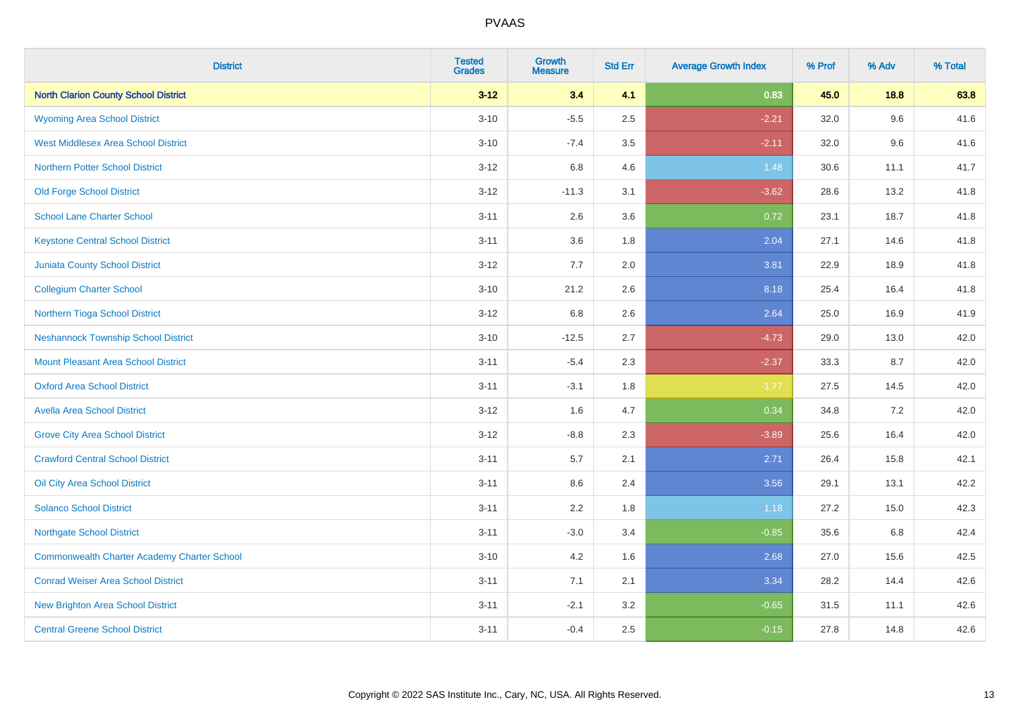| <b>District</b>                                    | <b>Tested</b><br><b>Grades</b> | <b>Growth</b><br><b>Measure</b> | <b>Std Err</b> | <b>Average Growth Index</b> | % Prof | % Adv | % Total |
|----------------------------------------------------|--------------------------------|---------------------------------|----------------|-----------------------------|--------|-------|---------|
| <b>North Clarion County School District</b>        | $3 - 12$                       | 3.4                             | 4.1            | 0.83                        | 45.0   | 18.8  | 63.8    |
| <b>Wyoming Area School District</b>                | $3 - 10$                       | $-5.5$                          | 2.5            | $-2.21$                     | 32.0   | 9.6   | 41.6    |
| <b>West Middlesex Area School District</b>         | $3 - 10$                       | $-7.4$                          | 3.5            | $-2.11$                     | 32.0   | 9.6   | 41.6    |
| <b>Northern Potter School District</b>             | $3 - 12$                       | 6.8                             | 4.6            | 1.48                        | 30.6   | 11.1  | 41.7    |
| <b>Old Forge School District</b>                   | $3 - 12$                       | $-11.3$                         | 3.1            | $-3.62$                     | 28.6   | 13.2  | 41.8    |
| <b>School Lane Charter School</b>                  | $3 - 11$                       | 2.6                             | 3.6            | 0.72                        | 23.1   | 18.7  | 41.8    |
| <b>Keystone Central School District</b>            | $3 - 11$                       | 3.6                             | 1.8            | 2.04                        | 27.1   | 14.6  | 41.8    |
| <b>Juniata County School District</b>              | $3 - 12$                       | 7.7                             | 2.0            | 3.81                        | 22.9   | 18.9  | 41.8    |
| <b>Collegium Charter School</b>                    | $3 - 10$                       | 21.2                            | 2.6            | 8.18                        | 25.4   | 16.4  | 41.8    |
| Northern Tioga School District                     | $3 - 12$                       | 6.8                             | 2.6            | 2.64                        | 25.0   | 16.9  | 41.9    |
| <b>Neshannock Township School District</b>         | $3 - 10$                       | $-12.5$                         | 2.7            | $-4.73$                     | 29.0   | 13.0  | 42.0    |
| Mount Pleasant Area School District                | $3 - 11$                       | $-5.4$                          | 2.3            | $-2.37$                     | 33.3   | 8.7   | 42.0    |
| <b>Oxford Area School District</b>                 | $3 - 11$                       | $-3.1$                          | 1.8            | $-1.77$                     | 27.5   | 14.5  | 42.0    |
| <b>Avella Area School District</b>                 | $3 - 12$                       | 1.6                             | 4.7            | 0.34                        | 34.8   | 7.2   | 42.0    |
| <b>Grove City Area School District</b>             | $3 - 12$                       | $-8.8$                          | 2.3            | $-3.89$                     | 25.6   | 16.4  | 42.0    |
| <b>Crawford Central School District</b>            | $3 - 11$                       | 5.7                             | 2.1            | 2.71                        | 26.4   | 15.8  | 42.1    |
| <b>Oil City Area School District</b>               | $3 - 11$                       | 8.6                             | 2.4            | 3.56                        | 29.1   | 13.1  | 42.2    |
| <b>Solanco School District</b>                     | $3 - 11$                       | 2.2                             | 1.8            | 1.18                        | 27.2   | 15.0  | 42.3    |
| <b>Northgate School District</b>                   | $3 - 11$                       | $-3.0$                          | 3.4            | $-0.85$                     | 35.6   | 6.8   | 42.4    |
| <b>Commonwealth Charter Academy Charter School</b> | $3 - 10$                       | 4.2                             | 1.6            | 2.68                        | 27.0   | 15.6  | 42.5    |
| <b>Conrad Weiser Area School District</b>          | $3 - 11$                       | 7.1                             | 2.1            | 3.34                        | 28.2   | 14.4  | 42.6    |
| <b>New Brighton Area School District</b>           | $3 - 11$                       | $-2.1$                          | 3.2            | $-0.65$                     | 31.5   | 11.1  | 42.6    |
| <b>Central Greene School District</b>              | $3 - 11$                       | $-0.4$                          | 2.5            | $-0.15$                     | 27.8   | 14.8  | 42.6    |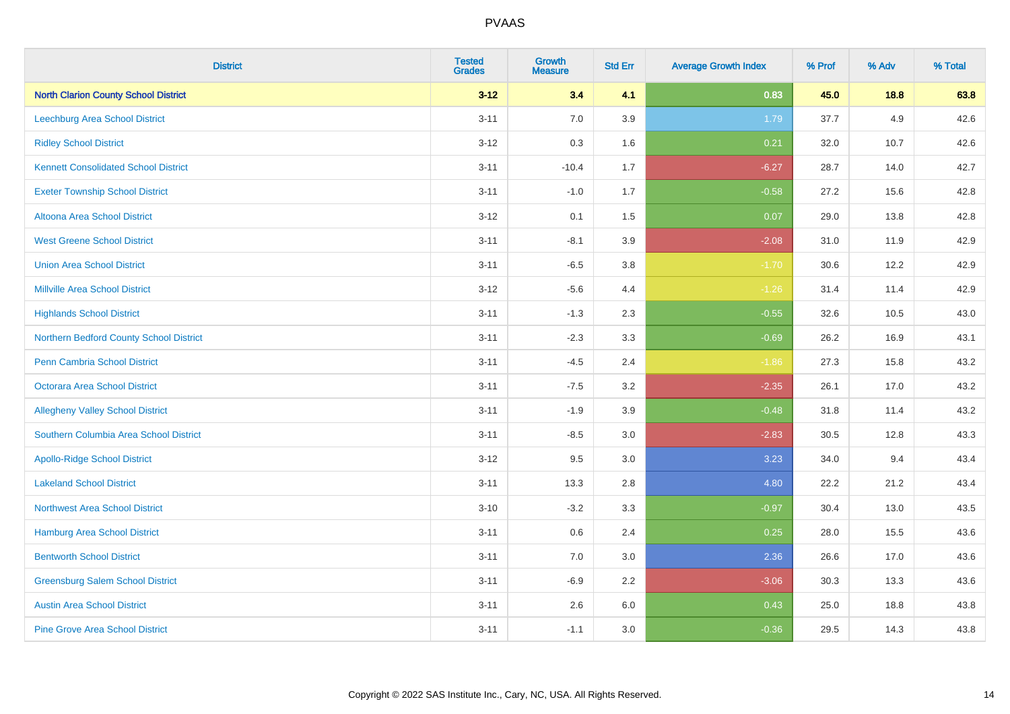| <b>District</b>                             | <b>Tested</b><br><b>Grades</b> | <b>Growth</b><br><b>Measure</b> | <b>Std Err</b> | <b>Average Growth Index</b> | % Prof | % Adv  | % Total |
|---------------------------------------------|--------------------------------|---------------------------------|----------------|-----------------------------|--------|--------|---------|
| <b>North Clarion County School District</b> | $3 - 12$                       | 3.4                             | 4.1            | 0.83                        | 45.0   | $18.8$ | 63.8    |
| <b>Leechburg Area School District</b>       | $3 - 11$                       | $7.0\,$                         | 3.9            | 1.79                        | 37.7   | 4.9    | 42.6    |
| <b>Ridley School District</b>               | $3 - 12$                       | 0.3                             | 1.6            | 0.21                        | 32.0   | 10.7   | 42.6    |
| <b>Kennett Consolidated School District</b> | $3 - 11$                       | $-10.4$                         | 1.7            | $-6.27$                     | 28.7   | 14.0   | 42.7    |
| <b>Exeter Township School District</b>      | $3 - 11$                       | $-1.0$                          | 1.7            | $-0.58$                     | 27.2   | 15.6   | 42.8    |
| Altoona Area School District                | $3 - 12$                       | 0.1                             | 1.5            | 0.07                        | 29.0   | 13.8   | 42.8    |
| <b>West Greene School District</b>          | $3 - 11$                       | $-8.1$                          | 3.9            | $-2.08$                     | 31.0   | 11.9   | 42.9    |
| <b>Union Area School District</b>           | $3 - 11$                       | $-6.5$                          | 3.8            | $-1.70$                     | 30.6   | 12.2   | 42.9    |
| <b>Millville Area School District</b>       | $3 - 12$                       | $-5.6$                          | 4.4            | $-1.26$                     | 31.4   | 11.4   | 42.9    |
| <b>Highlands School District</b>            | $3 - 11$                       | $-1.3$                          | 2.3            | $-0.55$                     | 32.6   | 10.5   | 43.0    |
| Northern Bedford County School District     | $3 - 11$                       | $-2.3$                          | 3.3            | $-0.69$                     | 26.2   | 16.9   | 43.1    |
| <b>Penn Cambria School District</b>         | $3 - 11$                       | $-4.5$                          | 2.4            | $-1.86$                     | 27.3   | 15.8   | 43.2    |
| Octorara Area School District               | $3 - 11$                       | $-7.5$                          | 3.2            | $-2.35$                     | 26.1   | 17.0   | 43.2    |
| <b>Allegheny Valley School District</b>     | $3 - 11$                       | $-1.9$                          | 3.9            | $-0.48$                     | 31.8   | 11.4   | 43.2    |
| Southern Columbia Area School District      | $3 - 11$                       | $-8.5$                          | 3.0            | $-2.83$                     | 30.5   | 12.8   | 43.3    |
| <b>Apollo-Ridge School District</b>         | $3 - 12$                       | 9.5                             | 3.0            | 3.23                        | 34.0   | 9.4    | 43.4    |
| <b>Lakeland School District</b>             | $3 - 11$                       | 13.3                            | 2.8            | 4.80                        | 22.2   | 21.2   | 43.4    |
| <b>Northwest Area School District</b>       | $3 - 10$                       | $-3.2$                          | 3.3            | $-0.97$                     | 30.4   | 13.0   | 43.5    |
| <b>Hamburg Area School District</b>         | $3 - 11$                       | $0.6\,$                         | 2.4            | 0.25                        | 28.0   | 15.5   | 43.6    |
| <b>Bentworth School District</b>            | $3 - 11$                       | 7.0                             | 3.0            | 2.36                        | 26.6   | 17.0   | 43.6    |
| <b>Greensburg Salem School District</b>     | $3 - 11$                       | $-6.9$                          | 2.2            | $-3.06$                     | 30.3   | 13.3   | 43.6    |
| <b>Austin Area School District</b>          | $3 - 11$                       | 2.6                             | 6.0            | 0.43                        | 25.0   | 18.8   | 43.8    |
| <b>Pine Grove Area School District</b>      | $3 - 11$                       | $-1.1$                          | 3.0            | $-0.36$                     | 29.5   | 14.3   | 43.8    |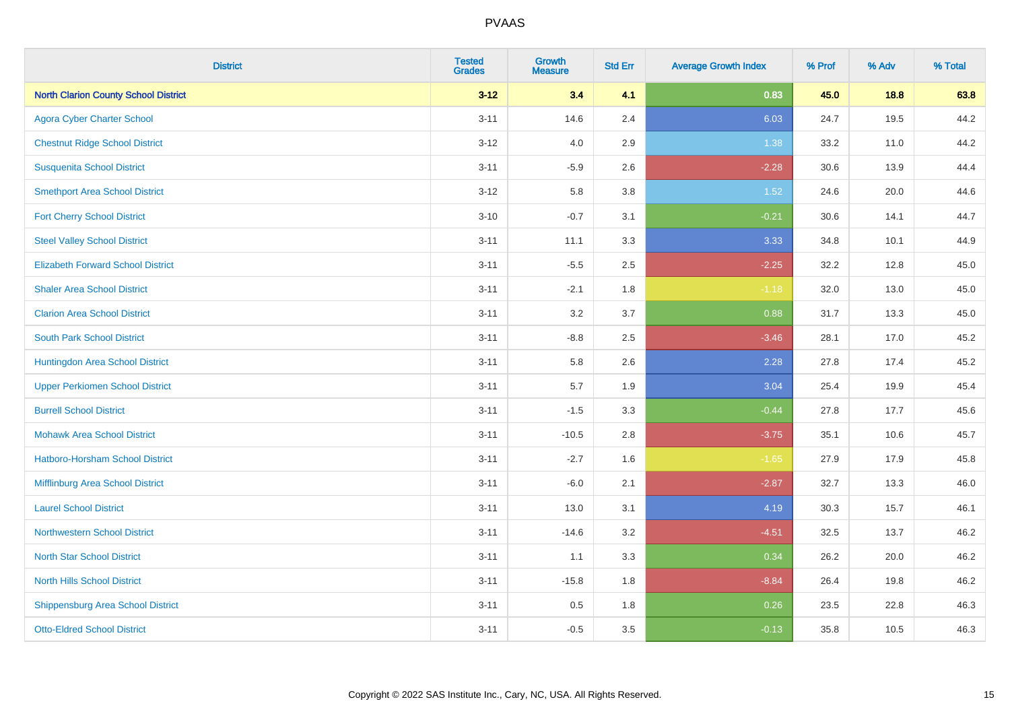| <b>District</b>                             | <b>Tested</b><br><b>Grades</b> | <b>Growth</b><br><b>Measure</b> | <b>Std Err</b> | <b>Average Growth Index</b> | % Prof | % Adv | % Total |
|---------------------------------------------|--------------------------------|---------------------------------|----------------|-----------------------------|--------|-------|---------|
| <b>North Clarion County School District</b> | $3 - 12$                       | 3.4                             | 4.1            | 0.83                        | 45.0   | 18.8  | 63.8    |
| <b>Agora Cyber Charter School</b>           | $3 - 11$                       | 14.6                            | 2.4            | 6.03                        | 24.7   | 19.5  | 44.2    |
| <b>Chestnut Ridge School District</b>       | $3 - 12$                       | 4.0                             | 2.9            | 1.38                        | 33.2   | 11.0  | 44.2    |
| <b>Susquenita School District</b>           | $3 - 11$                       | $-5.9$                          | 2.6            | $-2.28$                     | 30.6   | 13.9  | 44.4    |
| <b>Smethport Area School District</b>       | $3 - 12$                       | 5.8                             | 3.8            | 1.52                        | 24.6   | 20.0  | 44.6    |
| <b>Fort Cherry School District</b>          | $3 - 10$                       | $-0.7$                          | 3.1            | $-0.21$                     | 30.6   | 14.1  | 44.7    |
| <b>Steel Valley School District</b>         | $3 - 11$                       | 11.1                            | 3.3            | 3.33                        | 34.8   | 10.1  | 44.9    |
| <b>Elizabeth Forward School District</b>    | $3 - 11$                       | $-5.5$                          | 2.5            | $-2.25$                     | 32.2   | 12.8  | 45.0    |
| <b>Shaler Area School District</b>          | $3 - 11$                       | $-2.1$                          | 1.8            | $-1.18$                     | 32.0   | 13.0  | 45.0    |
| <b>Clarion Area School District</b>         | $3 - 11$                       | 3.2                             | 3.7            | 0.88                        | 31.7   | 13.3  | 45.0    |
| <b>South Park School District</b>           | $3 - 11$                       | $-8.8$                          | 2.5            | $-3.46$                     | 28.1   | 17.0  | 45.2    |
| Huntingdon Area School District             | $3 - 11$                       | 5.8                             | 2.6            | 2.28                        | 27.8   | 17.4  | 45.2    |
| <b>Upper Perkiomen School District</b>      | $3 - 11$                       | 5.7                             | 1.9            | 3.04                        | 25.4   | 19.9  | 45.4    |
| <b>Burrell School District</b>              | $3 - 11$                       | $-1.5$                          | 3.3            | $-0.44$                     | 27.8   | 17.7  | 45.6    |
| <b>Mohawk Area School District</b>          | $3 - 11$                       | $-10.5$                         | 2.8            | $-3.75$                     | 35.1   | 10.6  | 45.7    |
| <b>Hatboro-Horsham School District</b>      | $3 - 11$                       | $-2.7$                          | 1.6            | $-1.65$                     | 27.9   | 17.9  | 45.8    |
| Mifflinburg Area School District            | $3 - 11$                       | $-6.0$                          | 2.1            | $-2.87$                     | 32.7   | 13.3  | 46.0    |
| <b>Laurel School District</b>               | $3 - 11$                       | 13.0                            | 3.1            | 4.19                        | 30.3   | 15.7  | 46.1    |
| Northwestern School District                | $3 - 11$                       | $-14.6$                         | 3.2            | $-4.51$                     | 32.5   | 13.7  | 46.2    |
| <b>North Star School District</b>           | $3 - 11$                       | 1.1                             | 3.3            | 0.34                        | 26.2   | 20.0  | 46.2    |
| <b>North Hills School District</b>          | $3 - 11$                       | $-15.8$                         | 1.8            | $-8.84$                     | 26.4   | 19.8  | 46.2    |
| <b>Shippensburg Area School District</b>    | $3 - 11$                       | 0.5                             | 1.8            | 0.26                        | 23.5   | 22.8  | 46.3    |
| <b>Otto-Eldred School District</b>          | $3 - 11$                       | $-0.5$                          | 3.5            | $-0.13$                     | 35.8   | 10.5  | 46.3    |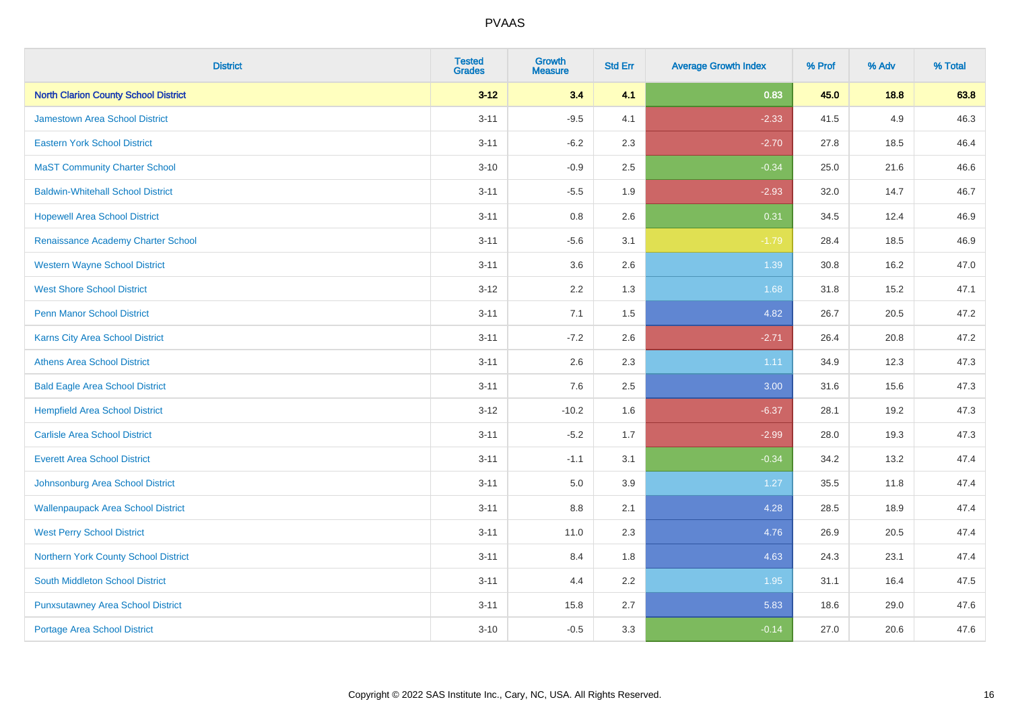| <b>District</b>                             | <b>Tested</b><br><b>Grades</b> | <b>Growth</b><br><b>Measure</b> | <b>Std Err</b> | <b>Average Growth Index</b> | % Prof | % Adv | % Total |
|---------------------------------------------|--------------------------------|---------------------------------|----------------|-----------------------------|--------|-------|---------|
| <b>North Clarion County School District</b> | $3 - 12$                       | 3.4                             | 4.1            | 0.83                        | 45.0   | 18.8  | 63.8    |
| Jamestown Area School District              | $3 - 11$                       | $-9.5$                          | 4.1            | $-2.33$                     | 41.5   | 4.9   | 46.3    |
| <b>Eastern York School District</b>         | $3 - 11$                       | $-6.2$                          | 2.3            | $-2.70$                     | 27.8   | 18.5  | 46.4    |
| <b>MaST Community Charter School</b>        | $3 - 10$                       | $-0.9$                          | 2.5            | $-0.34$                     | 25.0   | 21.6  | 46.6    |
| <b>Baldwin-Whitehall School District</b>    | $3 - 11$                       | $-5.5$                          | 1.9            | $-2.93$                     | 32.0   | 14.7  | 46.7    |
| <b>Hopewell Area School District</b>        | $3 - 11$                       | 0.8                             | 2.6            | 0.31                        | 34.5   | 12.4  | 46.9    |
| Renaissance Academy Charter School          | $3 - 11$                       | $-5.6$                          | 3.1            | $-1.79$                     | 28.4   | 18.5  | 46.9    |
| <b>Western Wayne School District</b>        | $3 - 11$                       | 3.6                             | 2.6            | 1.39                        | 30.8   | 16.2  | 47.0    |
| <b>West Shore School District</b>           | $3 - 12$                       | 2.2                             | 1.3            | 1.68                        | 31.8   | 15.2  | 47.1    |
| Penn Manor School District                  | $3 - 11$                       | 7.1                             | 1.5            | 4.82                        | 26.7   | 20.5  | 47.2    |
| Karns City Area School District             | $3 - 11$                       | $-7.2$                          | 2.6            | $-2.71$                     | 26.4   | 20.8  | 47.2    |
| <b>Athens Area School District</b>          | $3 - 11$                       | 2.6                             | 2.3            | 1.11                        | 34.9   | 12.3  | 47.3    |
| <b>Bald Eagle Area School District</b>      | $3 - 11$                       | 7.6                             | 2.5            | 3.00                        | 31.6   | 15.6  | 47.3    |
| <b>Hempfield Area School District</b>       | $3 - 12$                       | $-10.2$                         | 1.6            | $-6.37$                     | 28.1   | 19.2  | 47.3    |
| <b>Carlisle Area School District</b>        | $3 - 11$                       | $-5.2$                          | 1.7            | $-2.99$                     | 28.0   | 19.3  | 47.3    |
| <b>Everett Area School District</b>         | $3 - 11$                       | $-1.1$                          | 3.1            | $-0.34$                     | 34.2   | 13.2  | 47.4    |
| Johnsonburg Area School District            | $3 - 11$                       | 5.0                             | 3.9            | 1.27                        | 35.5   | 11.8  | 47.4    |
| <b>Wallenpaupack Area School District</b>   | $3 - 11$                       | $8.8\,$                         | 2.1            | 4.28                        | 28.5   | 18.9  | 47.4    |
| <b>West Perry School District</b>           | $3 - 11$                       | 11.0                            | 2.3            | 4.76                        | 26.9   | 20.5  | 47.4    |
| Northern York County School District        | $3 - 11$                       | 8.4                             | 1.8            | 4.63                        | 24.3   | 23.1  | 47.4    |
| <b>South Middleton School District</b>      | $3 - 11$                       | 4.4                             | 2.2            | 1.95                        | 31.1   | 16.4  | 47.5    |
| <b>Punxsutawney Area School District</b>    | $3 - 11$                       | 15.8                            | 2.7            | 5.83                        | 18.6   | 29.0  | 47.6    |
| <b>Portage Area School District</b>         | $3 - 10$                       | $-0.5$                          | 3.3            | $-0.14$                     | 27.0   | 20.6  | 47.6    |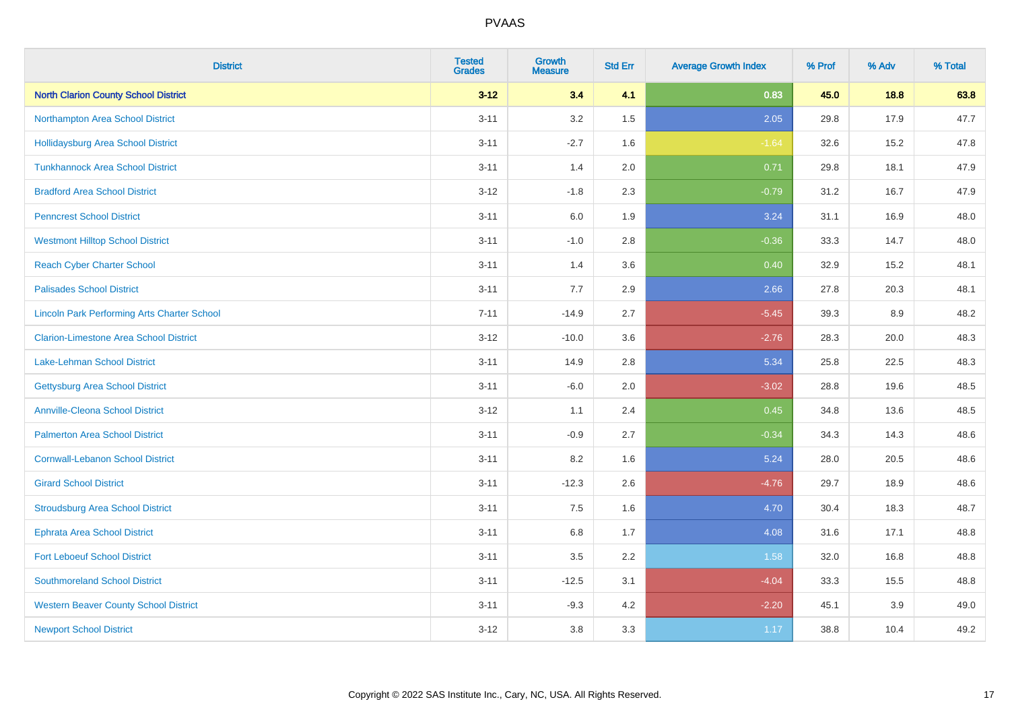| <b>District</b>                                    | <b>Tested</b><br><b>Grades</b> | <b>Growth</b><br><b>Measure</b> | <b>Std Err</b> | <b>Average Growth Index</b> | % Prof | % Adv | % Total |
|----------------------------------------------------|--------------------------------|---------------------------------|----------------|-----------------------------|--------|-------|---------|
| <b>North Clarion County School District</b>        | $3 - 12$                       | 3.4                             | 4.1            | 0.83                        | 45.0   | 18.8  | 63.8    |
| Northampton Area School District                   | $3 - 11$                       | 3.2                             | 1.5            | 2.05                        | 29.8   | 17.9  | 47.7    |
| <b>Hollidaysburg Area School District</b>          | $3 - 11$                       | $-2.7$                          | 1.6            | $-1.64$                     | 32.6   | 15.2  | 47.8    |
| <b>Tunkhannock Area School District</b>            | $3 - 11$                       | 1.4                             | 2.0            | 0.71                        | 29.8   | 18.1  | 47.9    |
| <b>Bradford Area School District</b>               | $3 - 12$                       | $-1.8$                          | 2.3            | $-0.79$                     | 31.2   | 16.7  | 47.9    |
| <b>Penncrest School District</b>                   | $3 - 11$                       | 6.0                             | 1.9            | 3.24                        | 31.1   | 16.9  | 48.0    |
| <b>Westmont Hilltop School District</b>            | $3 - 11$                       | $-1.0$                          | 2.8            | $-0.36$                     | 33.3   | 14.7  | 48.0    |
| <b>Reach Cyber Charter School</b>                  | $3 - 11$                       | 1.4                             | 3.6            | 0.40                        | 32.9   | 15.2  | 48.1    |
| <b>Palisades School District</b>                   | $3 - 11$                       | 7.7                             | 2.9            | 2.66                        | 27.8   | 20.3  | 48.1    |
| <b>Lincoln Park Performing Arts Charter School</b> | $7 - 11$                       | $-14.9$                         | 2.7            | $-5.45$                     | 39.3   | 8.9   | 48.2    |
| <b>Clarion-Limestone Area School District</b>      | $3 - 12$                       | $-10.0$                         | 3.6            | $-2.76$                     | 28.3   | 20.0  | 48.3    |
| <b>Lake-Lehman School District</b>                 | $3 - 11$                       | 14.9                            | 2.8            | 5.34                        | 25.8   | 22.5  | 48.3    |
| <b>Gettysburg Area School District</b>             | $3 - 11$                       | $-6.0$                          | 2.0            | $-3.02$                     | 28.8   | 19.6  | 48.5    |
| <b>Annville-Cleona School District</b>             | $3 - 12$                       | 1.1                             | 2.4            | 0.45                        | 34.8   | 13.6  | 48.5    |
| <b>Palmerton Area School District</b>              | $3 - 11$                       | $-0.9$                          | 2.7            | $-0.34$                     | 34.3   | 14.3  | 48.6    |
| <b>Cornwall-Lebanon School District</b>            | $3 - 11$                       | 8.2                             | 1.6            | 5.24                        | 28.0   | 20.5  | 48.6    |
| <b>Girard School District</b>                      | $3 - 11$                       | $-12.3$                         | 2.6            | $-4.76$                     | 29.7   | 18.9  | 48.6    |
| <b>Stroudsburg Area School District</b>            | $3 - 11$                       | 7.5                             | 1.6            | 4.70                        | 30.4   | 18.3  | 48.7    |
| <b>Ephrata Area School District</b>                | $3 - 11$                       | $6.8\,$                         | 1.7            | 4.08                        | 31.6   | 17.1  | 48.8    |
| <b>Fort Leboeuf School District</b>                | $3 - 11$                       | 3.5                             | 2.2            | 1.58                        | 32.0   | 16.8  | 48.8    |
| <b>Southmoreland School District</b>               | $3 - 11$                       | $-12.5$                         | 3.1            | $-4.04$                     | 33.3   | 15.5  | 48.8    |
| <b>Western Beaver County School District</b>       | $3 - 11$                       | $-9.3$                          | 4.2            | $-2.20$                     | 45.1   | 3.9   | 49.0    |
| <b>Newport School District</b>                     | $3 - 12$                       | 3.8                             | 3.3            | 1.17                        | 38.8   | 10.4  | 49.2    |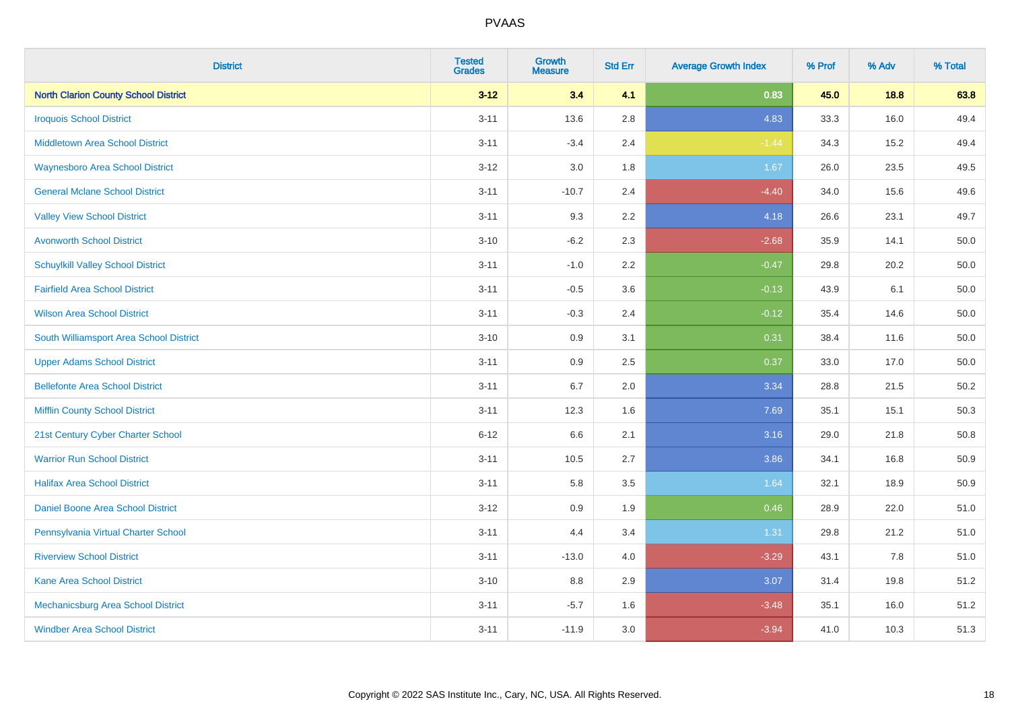| <b>District</b>                             | <b>Tested</b><br><b>Grades</b> | <b>Growth</b><br><b>Measure</b> | <b>Std Err</b> | <b>Average Growth Index</b> | % Prof | % Adv | % Total |
|---------------------------------------------|--------------------------------|---------------------------------|----------------|-----------------------------|--------|-------|---------|
| <b>North Clarion County School District</b> | $3 - 12$                       | 3.4                             | 4.1            | 0.83                        | 45.0   | 18.8  | 63.8    |
| <b>Iroquois School District</b>             | $3 - 11$                       | 13.6                            | 2.8            | 4.83                        | 33.3   | 16.0  | 49.4    |
| <b>Middletown Area School District</b>      | $3 - 11$                       | $-3.4$                          | 2.4            | $-1.44$                     | 34.3   | 15.2  | 49.4    |
| <b>Waynesboro Area School District</b>      | $3 - 12$                       | 3.0                             | 1.8            | 1.67                        | 26.0   | 23.5  | 49.5    |
| <b>General Mclane School District</b>       | $3 - 11$                       | $-10.7$                         | 2.4            | $-4.40$                     | 34.0   | 15.6  | 49.6    |
| <b>Valley View School District</b>          | $3 - 11$                       | 9.3                             | 2.2            | 4.18                        | 26.6   | 23.1  | 49.7    |
| <b>Avonworth School District</b>            | $3 - 10$                       | $-6.2$                          | 2.3            | $-2.68$                     | 35.9   | 14.1  | 50.0    |
| <b>Schuylkill Valley School District</b>    | $3 - 11$                       | $-1.0$                          | 2.2            | $-0.47$                     | 29.8   | 20.2  | 50.0    |
| <b>Fairfield Area School District</b>       | $3 - 11$                       | $-0.5$                          | 3.6            | $-0.13$                     | 43.9   | 6.1   | 50.0    |
| <b>Wilson Area School District</b>          | $3 - 11$                       | $-0.3$                          | 2.4            | $-0.12$                     | 35.4   | 14.6  | 50.0    |
| South Williamsport Area School District     | $3 - 10$                       | 0.9                             | 3.1            | 0.31                        | 38.4   | 11.6  | 50.0    |
| <b>Upper Adams School District</b>          | $3 - 11$                       | 0.9                             | 2.5            | 0.37                        | 33.0   | 17.0  | 50.0    |
| <b>Bellefonte Area School District</b>      | $3 - 11$                       | 6.7                             | 2.0            | 3.34                        | 28.8   | 21.5  | 50.2    |
| <b>Mifflin County School District</b>       | $3 - 11$                       | 12.3                            | 1.6            | 7.69                        | 35.1   | 15.1  | 50.3    |
| 21st Century Cyber Charter School           | $6 - 12$                       | 6.6                             | 2.1            | 3.16                        | 29.0   | 21.8  | 50.8    |
| <b>Warrior Run School District</b>          | $3 - 11$                       | 10.5                            | 2.7            | 3.86                        | 34.1   | 16.8  | 50.9    |
| <b>Halifax Area School District</b>         | $3 - 11$                       | 5.8                             | 3.5            | 1.64                        | 32.1   | 18.9  | 50.9    |
| Daniel Boone Area School District           | $3 - 12$                       | 0.9                             | 1.9            | 0.46                        | 28.9   | 22.0  | 51.0    |
| Pennsylvania Virtual Charter School         | $3 - 11$                       | 4.4                             | 3.4            | 1.31                        | 29.8   | 21.2  | 51.0    |
| <b>Riverview School District</b>            | $3 - 11$                       | $-13.0$                         | 4.0            | $-3.29$                     | 43.1   | 7.8   | 51.0    |
| Kane Area School District                   | $3 - 10$                       | 8.8                             | 2.9            | 3.07                        | 31.4   | 19.8  | 51.2    |
| Mechanicsburg Area School District          | $3 - 11$                       | $-5.7$                          | 1.6            | $-3.48$                     | 35.1   | 16.0  | 51.2    |
| <b>Windber Area School District</b>         | $3 - 11$                       | $-11.9$                         | 3.0            | $-3.94$                     | 41.0   | 10.3  | 51.3    |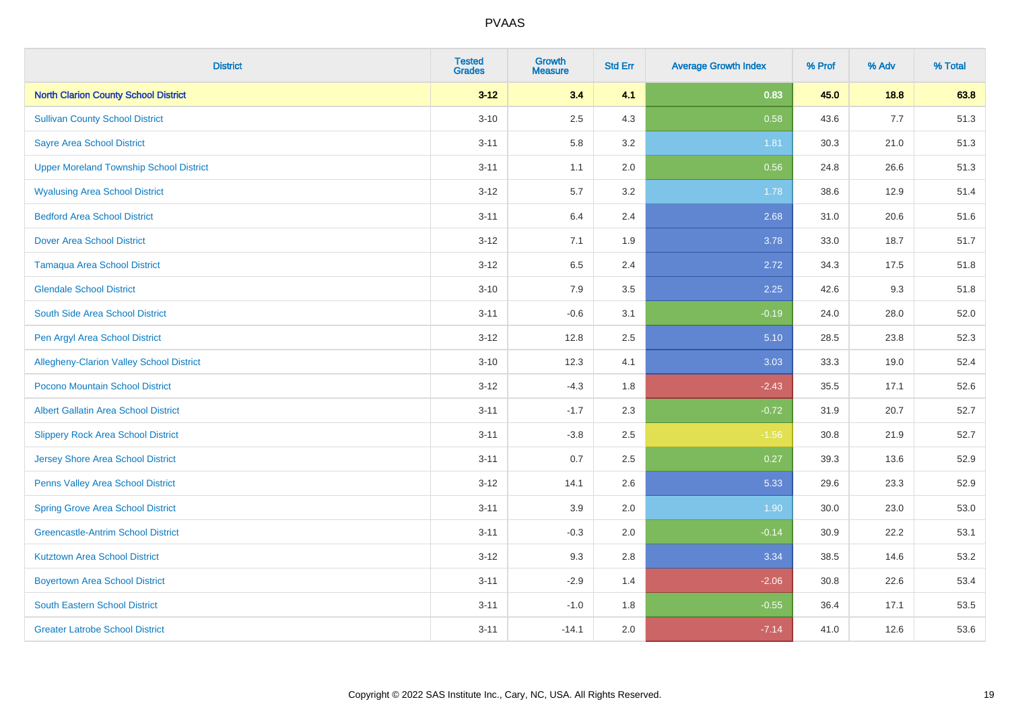| <b>District</b>                                 | <b>Tested</b><br><b>Grades</b> | <b>Growth</b><br><b>Measure</b> | <b>Std Err</b> | <b>Average Growth Index</b> | % Prof | % Adv | % Total |
|-------------------------------------------------|--------------------------------|---------------------------------|----------------|-----------------------------|--------|-------|---------|
| <b>North Clarion County School District</b>     | $3 - 12$                       | 3.4                             | 4.1            | 0.83                        | 45.0   | 18.8  | 63.8    |
| <b>Sullivan County School District</b>          | $3 - 10$                       | 2.5                             | 4.3            | 0.58                        | 43.6   | 7.7   | 51.3    |
| <b>Sayre Area School District</b>               | $3 - 11$                       | 5.8                             | 3.2            | 1.81                        | 30.3   | 21.0  | 51.3    |
| <b>Upper Moreland Township School District</b>  | $3 - 11$                       | 1.1                             | 2.0            | 0.56                        | 24.8   | 26.6  | 51.3    |
| <b>Wyalusing Area School District</b>           | $3 - 12$                       | 5.7                             | 3.2            | 1.78                        | 38.6   | 12.9  | 51.4    |
| <b>Bedford Area School District</b>             | $3 - 11$                       | 6.4                             | 2.4            | 2.68                        | 31.0   | 20.6  | 51.6    |
| <b>Dover Area School District</b>               | $3 - 12$                       | 7.1                             | 1.9            | 3.78                        | 33.0   | 18.7  | 51.7    |
| <b>Tamaqua Area School District</b>             | $3 - 12$                       | 6.5                             | 2.4            | 2.72                        | 34.3   | 17.5  | 51.8    |
| <b>Glendale School District</b>                 | $3 - 10$                       | 7.9                             | 3.5            | 2.25                        | 42.6   | 9.3   | 51.8    |
| South Side Area School District                 | $3 - 11$                       | $-0.6$                          | 3.1            | $-0.19$                     | 24.0   | 28.0  | 52.0    |
| Pen Argyl Area School District                  | $3 - 12$                       | 12.8                            | 2.5            | 5.10                        | 28.5   | 23.8  | 52.3    |
| <b>Allegheny-Clarion Valley School District</b> | $3 - 10$                       | 12.3                            | 4.1            | 3.03                        | 33.3   | 19.0  | 52.4    |
| Pocono Mountain School District                 | $3 - 12$                       | $-4.3$                          | 1.8            | $-2.43$                     | 35.5   | 17.1  | 52.6    |
| <b>Albert Gallatin Area School District</b>     | $3 - 11$                       | $-1.7$                          | 2.3            | $-0.72$                     | 31.9   | 20.7  | 52.7    |
| <b>Slippery Rock Area School District</b>       | $3 - 11$                       | $-3.8$                          | 2.5            | $-1.56$                     | 30.8   | 21.9  | 52.7    |
| Jersey Shore Area School District               | $3 - 11$                       | 0.7                             | 2.5            | 0.27                        | 39.3   | 13.6  | 52.9    |
| Penns Valley Area School District               | $3 - 12$                       | 14.1                            | 2.6            | 5.33                        | 29.6   | 23.3  | 52.9    |
| <b>Spring Grove Area School District</b>        | $3 - 11$                       | 3.9                             | 2.0            | 1.90                        | 30.0   | 23.0  | 53.0    |
| <b>Greencastle-Antrim School District</b>       | $3 - 11$                       | $-0.3$                          | 2.0            | $-0.14$                     | 30.9   | 22.2  | 53.1    |
| <b>Kutztown Area School District</b>            | $3 - 12$                       | 9.3                             | 2.8            | 3.34                        | 38.5   | 14.6  | 53.2    |
| <b>Boyertown Area School District</b>           | $3 - 11$                       | $-2.9$                          | 1.4            | $-2.06$                     | 30.8   | 22.6  | 53.4    |
| South Eastern School District                   | $3 - 11$                       | $-1.0$                          | 1.8            | $-0.55$                     | 36.4   | 17.1  | 53.5    |
| <b>Greater Latrobe School District</b>          | $3 - 11$                       | $-14.1$                         | 2.0            | $-7.14$                     | 41.0   | 12.6  | 53.6    |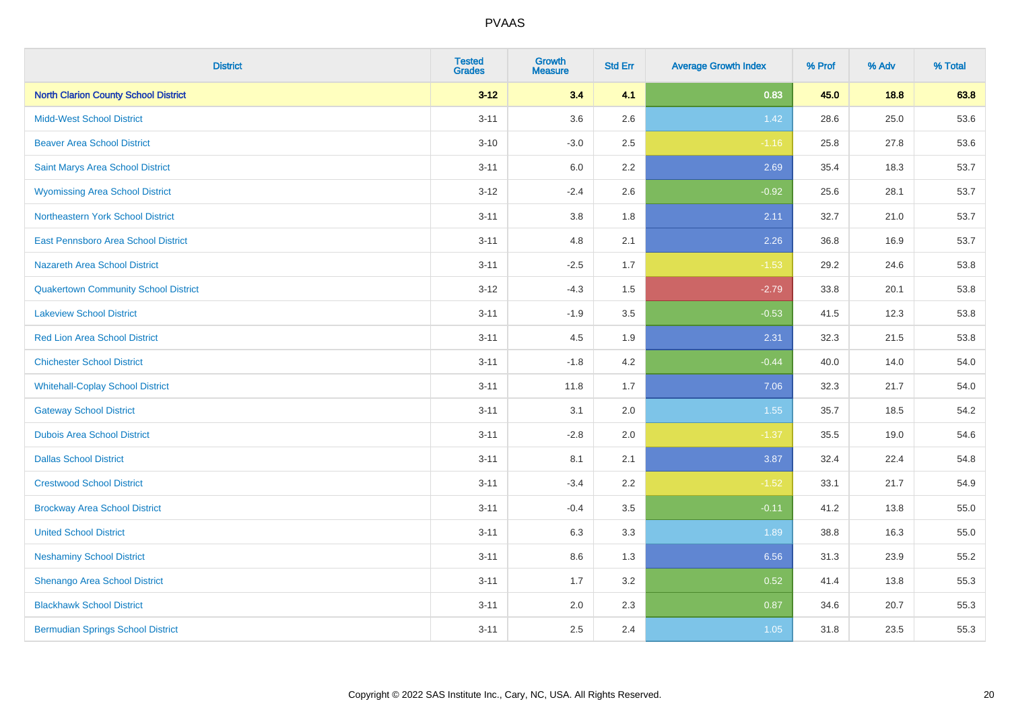| <b>District</b>                             | <b>Tested</b><br><b>Grades</b> | <b>Growth</b><br><b>Measure</b> | <b>Std Err</b> | <b>Average Growth Index</b> | % Prof | % Adv | % Total |
|---------------------------------------------|--------------------------------|---------------------------------|----------------|-----------------------------|--------|-------|---------|
| <b>North Clarion County School District</b> | $3 - 12$                       | 3.4                             | 4.1            | 0.83                        | 45.0   | 18.8  | 63.8    |
| <b>Midd-West School District</b>            | $3 - 11$                       | 3.6                             | 2.6            | 1.42                        | 28.6   | 25.0  | 53.6    |
| <b>Beaver Area School District</b>          | $3 - 10$                       | $-3.0$                          | 2.5            | $-1.16$                     | 25.8   | 27.8  | 53.6    |
| Saint Marys Area School District            | $3 - 11$                       | 6.0                             | 2.2            | 2.69                        | 35.4   | 18.3  | 53.7    |
| <b>Wyomissing Area School District</b>      | $3 - 12$                       | $-2.4$                          | 2.6            | $-0.92$                     | 25.6   | 28.1  | 53.7    |
| Northeastern York School District           | $3 - 11$                       | 3.8                             | 1.8            | 2.11                        | 32.7   | 21.0  | 53.7    |
| East Pennsboro Area School District         | $3 - 11$                       | 4.8                             | 2.1            | 2.26                        | 36.8   | 16.9  | 53.7    |
| <b>Nazareth Area School District</b>        | $3 - 11$                       | $-2.5$                          | 1.7            | $-1.53$                     | 29.2   | 24.6  | 53.8    |
| <b>Quakertown Community School District</b> | $3 - 12$                       | $-4.3$                          | 1.5            | $-2.79$                     | 33.8   | 20.1  | 53.8    |
| <b>Lakeview School District</b>             | $3 - 11$                       | $-1.9$                          | 3.5            | $-0.53$                     | 41.5   | 12.3  | 53.8    |
| <b>Red Lion Area School District</b>        | $3 - 11$                       | 4.5                             | 1.9            | 2.31                        | 32.3   | 21.5  | 53.8    |
| <b>Chichester School District</b>           | $3 - 11$                       | $-1.8$                          | 4.2            | $-0.44$                     | 40.0   | 14.0  | 54.0    |
| <b>Whitehall-Coplay School District</b>     | $3 - 11$                       | 11.8                            | 1.7            | 7.06                        | 32.3   | 21.7  | 54.0    |
| <b>Gateway School District</b>              | $3 - 11$                       | 3.1                             | 2.0            | 1.55                        | 35.7   | 18.5  | 54.2    |
| <b>Dubois Area School District</b>          | $3 - 11$                       | $-2.8$                          | 2.0            | $-1.37$                     | 35.5   | 19.0  | 54.6    |
| <b>Dallas School District</b>               | $3 - 11$                       | 8.1                             | 2.1            | 3.87                        | 32.4   | 22.4  | 54.8    |
| <b>Crestwood School District</b>            | $3 - 11$                       | $-3.4$                          | 2.2            | $-1.52$                     | 33.1   | 21.7  | 54.9    |
| <b>Brockway Area School District</b>        | $3 - 11$                       | $-0.4$                          | 3.5            | $-0.11$                     | 41.2   | 13.8  | 55.0    |
| <b>United School District</b>               | $3 - 11$                       | 6.3                             | 3.3            | 1.89                        | 38.8   | 16.3  | 55.0    |
| <b>Neshaminy School District</b>            | $3 - 11$                       | 8.6                             | 1.3            | 6.56                        | 31.3   | 23.9  | 55.2    |
| Shenango Area School District               | $3 - 11$                       | 1.7                             | 3.2            | 0.52                        | 41.4   | 13.8  | 55.3    |
| <b>Blackhawk School District</b>            | $3 - 11$                       | 2.0                             | 2.3            | 0.87                        | 34.6   | 20.7  | 55.3    |
| <b>Bermudian Springs School District</b>    | $3 - 11$                       | 2.5                             | 2.4            | 1.05                        | 31.8   | 23.5  | 55.3    |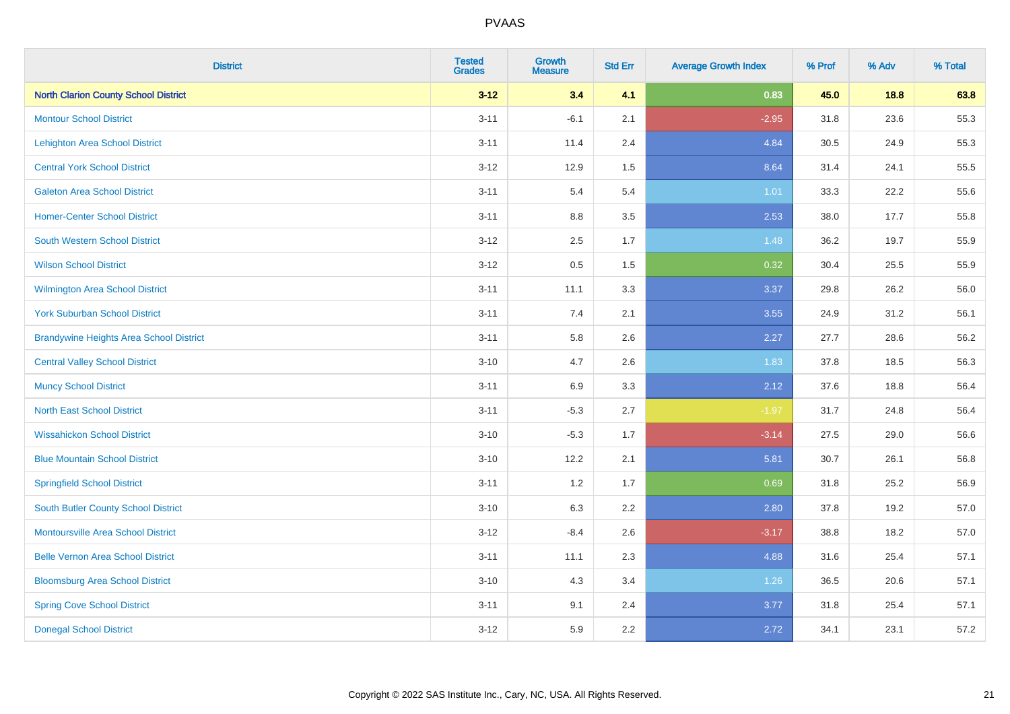| <b>District</b>                                | <b>Tested</b><br><b>Grades</b> | <b>Growth</b><br><b>Measure</b> | <b>Std Err</b> | <b>Average Growth Index</b> | % Prof | % Adv | % Total |
|------------------------------------------------|--------------------------------|---------------------------------|----------------|-----------------------------|--------|-------|---------|
| <b>North Clarion County School District</b>    | $3 - 12$                       | 3.4                             | 4.1            | 0.83                        | 45.0   | 18.8  | 63.8    |
| <b>Montour School District</b>                 | $3 - 11$                       | $-6.1$                          | 2.1            | $-2.95$                     | 31.8   | 23.6  | 55.3    |
| <b>Lehighton Area School District</b>          | $3 - 11$                       | 11.4                            | 2.4            | 4.84                        | 30.5   | 24.9  | 55.3    |
| <b>Central York School District</b>            | $3 - 12$                       | 12.9                            | 1.5            | 8.64                        | 31.4   | 24.1  | 55.5    |
| <b>Galeton Area School District</b>            | $3 - 11$                       | 5.4                             | 5.4            | 1.01                        | 33.3   | 22.2  | 55.6    |
| <b>Homer-Center School District</b>            | $3 - 11$                       | 8.8                             | 3.5            | 2.53                        | 38.0   | 17.7  | 55.8    |
| <b>South Western School District</b>           | $3 - 12$                       | 2.5                             | 1.7            | 1.48                        | 36.2   | 19.7  | 55.9    |
| <b>Wilson School District</b>                  | $3 - 12$                       | 0.5                             | 1.5            | 0.32                        | 30.4   | 25.5  | 55.9    |
| Wilmington Area School District                | $3 - 11$                       | 11.1                            | 3.3            | 3.37                        | 29.8   | 26.2  | 56.0    |
| <b>York Suburban School District</b>           | $3 - 11$                       | 7.4                             | 2.1            | 3.55                        | 24.9   | 31.2  | 56.1    |
| <b>Brandywine Heights Area School District</b> | $3 - 11$                       | 5.8                             | 2.6            | 2.27                        | 27.7   | 28.6  | 56.2    |
| <b>Central Valley School District</b>          | $3 - 10$                       | 4.7                             | 2.6            | 1.83                        | 37.8   | 18.5  | 56.3    |
| <b>Muncy School District</b>                   | $3 - 11$                       | 6.9                             | 3.3            | 2.12                        | 37.6   | 18.8  | 56.4    |
| <b>North East School District</b>              | $3 - 11$                       | $-5.3$                          | 2.7            | $-1.97$                     | 31.7   | 24.8  | 56.4    |
| <b>Wissahickon School District</b>             | $3 - 10$                       | $-5.3$                          | 1.7            | $-3.14$                     | 27.5   | 29.0  | 56.6    |
| <b>Blue Mountain School District</b>           | $3 - 10$                       | 12.2                            | 2.1            | 5.81                        | 30.7   | 26.1  | 56.8    |
| <b>Springfield School District</b>             | $3 - 11$                       | 1.2                             | 1.7            | 0.69                        | 31.8   | 25.2  | 56.9    |
| <b>South Butler County School District</b>     | $3 - 10$                       | 6.3                             | 2.2            | 2.80                        | 37.8   | 19.2  | 57.0    |
| Montoursville Area School District             | $3 - 12$                       | $-8.4$                          | 2.6            | $-3.17$                     | 38.8   | 18.2  | 57.0    |
| <b>Belle Vernon Area School District</b>       | $3 - 11$                       | 11.1                            | 2.3            | 4.88                        | 31.6   | 25.4  | 57.1    |
| <b>Bloomsburg Area School District</b>         | $3 - 10$                       | 4.3                             | 3.4            | 1.26                        | 36.5   | 20.6  | 57.1    |
| <b>Spring Cove School District</b>             | $3 - 11$                       | 9.1                             | 2.4            | 3.77                        | 31.8   | 25.4  | 57.1    |
| <b>Donegal School District</b>                 | $3 - 12$                       | 5.9                             | 2.2            | 2.72                        | 34.1   | 23.1  | 57.2    |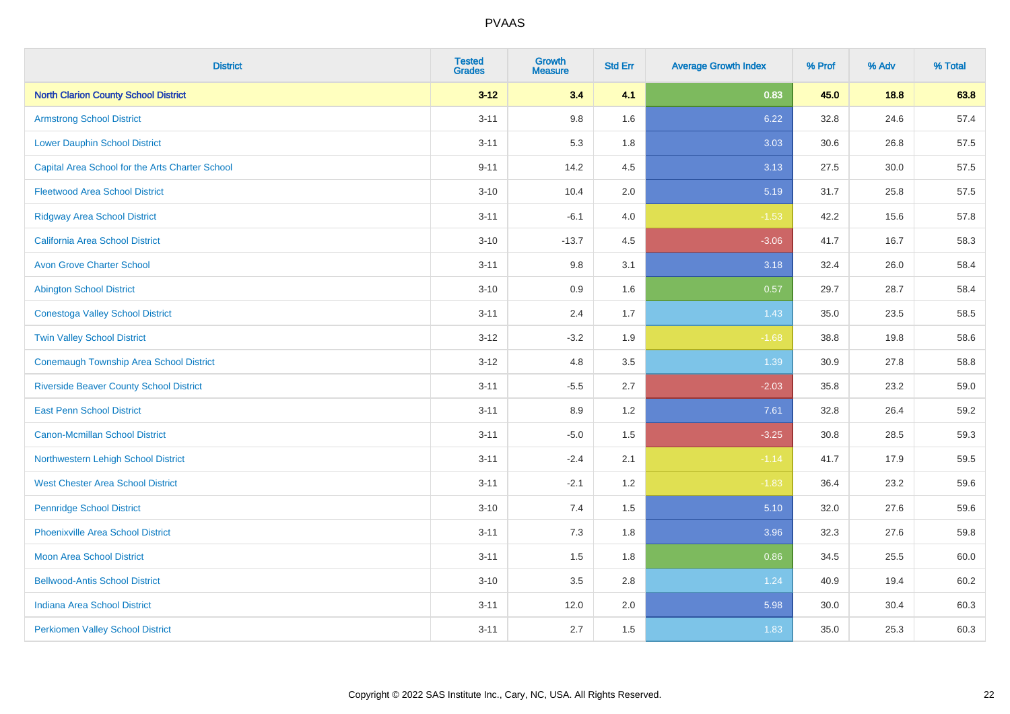| <b>District</b>                                 | <b>Tested</b><br><b>Grades</b> | <b>Growth</b><br><b>Measure</b> | <b>Std Err</b> | <b>Average Growth Index</b> | % Prof | % Adv | % Total |
|-------------------------------------------------|--------------------------------|---------------------------------|----------------|-----------------------------|--------|-------|---------|
| <b>North Clarion County School District</b>     | $3 - 12$                       | 3.4                             | 4.1            | 0.83                        | 45.0   | 18.8  | 63.8    |
| <b>Armstrong School District</b>                | $3 - 11$                       | $9.8\,$                         | 1.6            | 6.22                        | 32.8   | 24.6  | 57.4    |
| <b>Lower Dauphin School District</b>            | $3 - 11$                       | 5.3                             | 1.8            | 3.03                        | 30.6   | 26.8  | 57.5    |
| Capital Area School for the Arts Charter School | $9 - 11$                       | 14.2                            | 4.5            | 3.13                        | 27.5   | 30.0  | 57.5    |
| <b>Fleetwood Area School District</b>           | $3 - 10$                       | 10.4                            | 2.0            | 5.19                        | 31.7   | 25.8  | 57.5    |
| <b>Ridgway Area School District</b>             | $3 - 11$                       | $-6.1$                          | 4.0            | $-1.53$                     | 42.2   | 15.6  | 57.8    |
| <b>California Area School District</b>          | $3 - 10$                       | $-13.7$                         | 4.5            | $-3.06$                     | 41.7   | 16.7  | 58.3    |
| <b>Avon Grove Charter School</b>                | $3 - 11$                       | $9.8\,$                         | 3.1            | 3.18                        | 32.4   | 26.0  | 58.4    |
| <b>Abington School District</b>                 | $3 - 10$                       | 0.9                             | 1.6            | 0.57                        | 29.7   | 28.7  | 58.4    |
| <b>Conestoga Valley School District</b>         | $3 - 11$                       | 2.4                             | 1.7            | 1.43                        | 35.0   | 23.5  | 58.5    |
| <b>Twin Valley School District</b>              | $3 - 12$                       | $-3.2$                          | 1.9            | $-1.68$                     | 38.8   | 19.8  | 58.6    |
| <b>Conemaugh Township Area School District</b>  | $3-12$                         | 4.8                             | 3.5            | 1.39                        | 30.9   | 27.8  | 58.8    |
| <b>Riverside Beaver County School District</b>  | $3 - 11$                       | $-5.5$                          | 2.7            | $-2.03$                     | 35.8   | 23.2  | 59.0    |
| <b>East Penn School District</b>                | $3 - 11$                       | 8.9                             | 1.2            | 7.61                        | 32.8   | 26.4  | 59.2    |
| <b>Canon-Mcmillan School District</b>           | $3 - 11$                       | $-5.0$                          | 1.5            | $-3.25$                     | 30.8   | 28.5  | 59.3    |
| Northwestern Lehigh School District             | $3 - 11$                       | $-2.4$                          | 2.1            | $-1.14$                     | 41.7   | 17.9  | 59.5    |
| <b>West Chester Area School District</b>        | $3 - 11$                       | $-2.1$                          | 1.2            | $-1.83$                     | 36.4   | 23.2  | 59.6    |
| <b>Pennridge School District</b>                | $3 - 10$                       | 7.4                             | 1.5            | 5.10                        | 32.0   | 27.6  | 59.6    |
| <b>Phoenixville Area School District</b>        | $3 - 11$                       | 7.3                             | 1.8            | 3.96                        | 32.3   | 27.6  | 59.8    |
| Moon Area School District                       | $3 - 11$                       | 1.5                             | 1.8            | 0.86                        | 34.5   | 25.5  | 60.0    |
| <b>Bellwood-Antis School District</b>           | $3 - 10$                       | 3.5                             | 2.8            | 1.24                        | 40.9   | 19.4  | 60.2    |
| <b>Indiana Area School District</b>             | $3 - 11$                       | 12.0                            | 2.0            | 5.98                        | 30.0   | 30.4  | 60.3    |
| <b>Perkiomen Valley School District</b>         | $3 - 11$                       | 2.7                             | 1.5            | 1.83                        | 35.0   | 25.3  | 60.3    |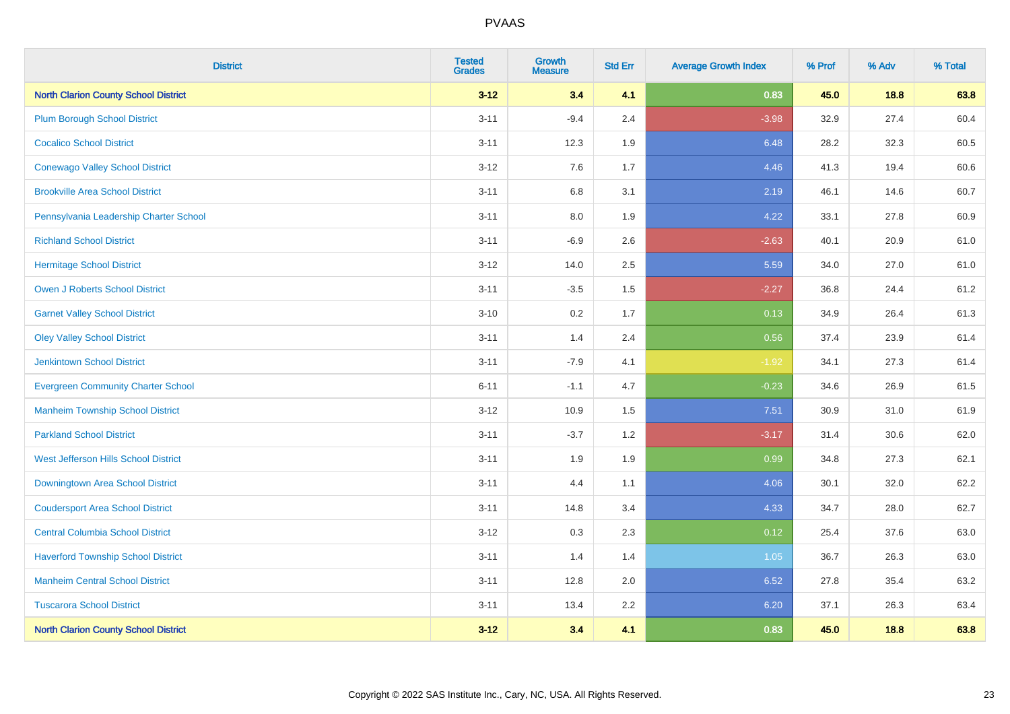| <b>District</b>                             | <b>Tested</b><br><b>Grades</b> | <b>Growth</b><br><b>Measure</b> | <b>Std Err</b> | <b>Average Growth Index</b> | % Prof | % Adv | % Total |
|---------------------------------------------|--------------------------------|---------------------------------|----------------|-----------------------------|--------|-------|---------|
| <b>North Clarion County School District</b> | $3 - 12$                       | 3.4                             | 4.1            | 0.83                        | 45.0   | 18.8  | 63.8    |
| <b>Plum Borough School District</b>         | $3 - 11$                       | $-9.4$                          | 2.4            | $-3.98$                     | 32.9   | 27.4  | 60.4    |
| <b>Cocalico School District</b>             | $3 - 11$                       | 12.3                            | 1.9            | 6.48                        | 28.2   | 32.3  | 60.5    |
| <b>Conewago Valley School District</b>      | $3-12$                         | 7.6                             | 1.7            | 4.46                        | 41.3   | 19.4  | 60.6    |
| <b>Brookville Area School District</b>      | $3 - 11$                       | 6.8                             | 3.1            | 2.19                        | 46.1   | 14.6  | 60.7    |
| Pennsylvania Leadership Charter School      | $3 - 11$                       | 8.0                             | 1.9            | 4.22                        | 33.1   | 27.8  | 60.9    |
| <b>Richland School District</b>             | $3 - 11$                       | $-6.9$                          | 2.6            | $-2.63$                     | 40.1   | 20.9  | 61.0    |
| <b>Hermitage School District</b>            | $3 - 12$                       | 14.0                            | 2.5            | 5.59                        | 34.0   | 27.0  | 61.0    |
| Owen J Roberts School District              | $3 - 11$                       | $-3.5$                          | 1.5            | $-2.27$                     | 36.8   | 24.4  | 61.2    |
| <b>Garnet Valley School District</b>        | $3 - 10$                       | 0.2                             | 1.7            | 0.13                        | 34.9   | 26.4  | 61.3    |
| <b>Oley Valley School District</b>          | $3 - 11$                       | 1.4                             | 2.4            | 0.56                        | 37.4   | 23.9  | 61.4    |
| <b>Jenkintown School District</b>           | $3 - 11$                       | $-7.9$                          | 4.1            | $-1.92$                     | 34.1   | 27.3  | 61.4    |
| <b>Evergreen Community Charter School</b>   | $6 - 11$                       | $-1.1$                          | 4.7            | $-0.23$                     | 34.6   | 26.9  | 61.5    |
| <b>Manheim Township School District</b>     | $3-12$                         | 10.9                            | 1.5            | 7.51                        | 30.9   | 31.0  | 61.9    |
| <b>Parkland School District</b>             | $3 - 11$                       | $-3.7$                          | 1.2            | $-3.17$                     | 31.4   | 30.6  | 62.0    |
| West Jefferson Hills School District        | $3 - 11$                       | 1.9                             | 1.9            | 0.99                        | 34.8   | 27.3  | 62.1    |
| Downingtown Area School District            | $3 - 11$                       | 4.4                             | 1.1            | 4.06                        | 30.1   | 32.0  | 62.2    |
| <b>Coudersport Area School District</b>     | $3 - 11$                       | 14.8                            | 3.4            | 4.33                        | 34.7   | 28.0  | 62.7    |
| <b>Central Columbia School District</b>     | $3 - 12$                       | 0.3                             | 2.3            | 0.12                        | 25.4   | 37.6  | 63.0    |
| <b>Haverford Township School District</b>   | $3 - 11$                       | 1.4                             | 1.4            | 1.05                        | 36.7   | 26.3  | 63.0    |
| <b>Manheim Central School District</b>      | $3 - 11$                       | 12.8                            | 2.0            | 6.52                        | 27.8   | 35.4  | 63.2    |
| <b>Tuscarora School District</b>            | $3 - 11$                       | 13.4                            | 2.2            | 6.20                        | 37.1   | 26.3  | 63.4    |
| <b>North Clarion County School District</b> | $3 - 12$                       | 34                              | 4.1            | 0.83                        | 45.0   | 18.8  | 63.8    |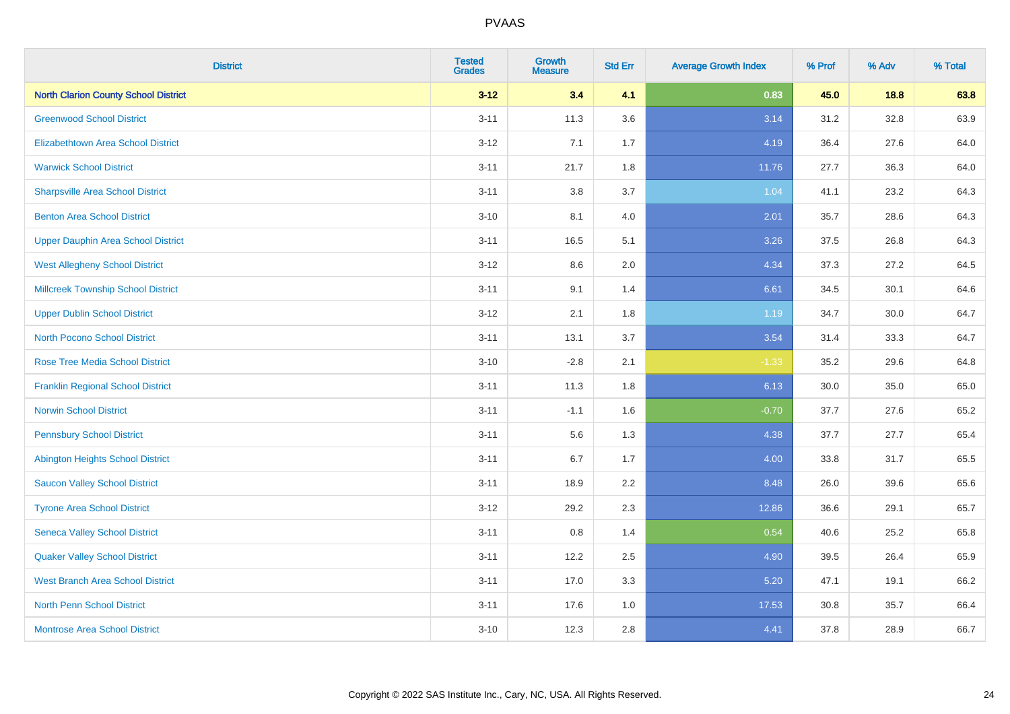| <b>District</b>                             | <b>Tested</b><br><b>Grades</b> | <b>Growth</b><br><b>Measure</b> | <b>Std Err</b> | <b>Average Growth Index</b> | % Prof | % Adv | % Total |
|---------------------------------------------|--------------------------------|---------------------------------|----------------|-----------------------------|--------|-------|---------|
| <b>North Clarion County School District</b> | $3 - 12$                       | 3.4                             | 4.1            | 0.83                        | 45.0   | 18.8  | 63.8    |
| <b>Greenwood School District</b>            | $3 - 11$                       | 11.3                            | 3.6            | 3.14                        | 31.2   | 32.8  | 63.9    |
| <b>Elizabethtown Area School District</b>   | $3 - 12$                       | 7.1                             | 1.7            | 4.19                        | 36.4   | 27.6  | 64.0    |
| <b>Warwick School District</b>              | $3 - 11$                       | 21.7                            | 1.8            | 11.76                       | 27.7   | 36.3  | 64.0    |
| <b>Sharpsville Area School District</b>     | $3 - 11$                       | 3.8                             | 3.7            | 1.04                        | 41.1   | 23.2  | 64.3    |
| <b>Benton Area School District</b>          | $3 - 10$                       | 8.1                             | 4.0            | 2.01                        | 35.7   | 28.6  | 64.3    |
| <b>Upper Dauphin Area School District</b>   | $3 - 11$                       | 16.5                            | 5.1            | 3.26                        | 37.5   | 26.8  | 64.3    |
| <b>West Allegheny School District</b>       | $3 - 12$                       | 8.6                             | 2.0            | 4.34                        | 37.3   | 27.2  | 64.5    |
| <b>Millcreek Township School District</b>   | $3 - 11$                       | 9.1                             | 1.4            | 6.61                        | 34.5   | 30.1  | 64.6    |
| <b>Upper Dublin School District</b>         | $3 - 12$                       | 2.1                             | 1.8            | 1.19                        | 34.7   | 30.0  | 64.7    |
| <b>North Pocono School District</b>         | $3 - 11$                       | 13.1                            | 3.7            | 3.54                        | 31.4   | 33.3  | 64.7    |
| <b>Rose Tree Media School District</b>      | $3 - 10$                       | $-2.8$                          | 2.1            | $-1.33$                     | 35.2   | 29.6  | 64.8    |
| <b>Franklin Regional School District</b>    | $3 - 11$                       | 11.3                            | 1.8            | 6.13                        | 30.0   | 35.0  | 65.0    |
| <b>Norwin School District</b>               | $3 - 11$                       | $-1.1$                          | 1.6            | $-0.70$                     | 37.7   | 27.6  | 65.2    |
| <b>Pennsbury School District</b>            | $3 - 11$                       | 5.6                             | 1.3            | 4.38                        | 37.7   | 27.7  | 65.4    |
| <b>Abington Heights School District</b>     | $3 - 11$                       | 6.7                             | 1.7            | 4.00                        | 33.8   | 31.7  | 65.5    |
| <b>Saucon Valley School District</b>        | $3 - 11$                       | 18.9                            | 2.2            | 8.48                        | 26.0   | 39.6  | 65.6    |
| <b>Tyrone Area School District</b>          | $3 - 12$                       | 29.2                            | 2.3            | 12.86                       | 36.6   | 29.1  | 65.7    |
| <b>Seneca Valley School District</b>        | $3 - 11$                       | $0.8\,$                         | 1.4            | 0.54                        | 40.6   | 25.2  | 65.8    |
| <b>Quaker Valley School District</b>        | $3 - 11$                       | 12.2                            | 2.5            | 4.90                        | 39.5   | 26.4  | 65.9    |
| <b>West Branch Area School District</b>     | $3 - 11$                       | 17.0                            | 3.3            | 5.20                        | 47.1   | 19.1  | 66.2    |
| North Penn School District                  | $3 - 11$                       | 17.6                            | 1.0            | 17.53                       | 30.8   | 35.7  | 66.4    |
| <b>Montrose Area School District</b>        | $3 - 10$                       | 12.3                            | 2.8            | 4.41                        | 37.8   | 28.9  | 66.7    |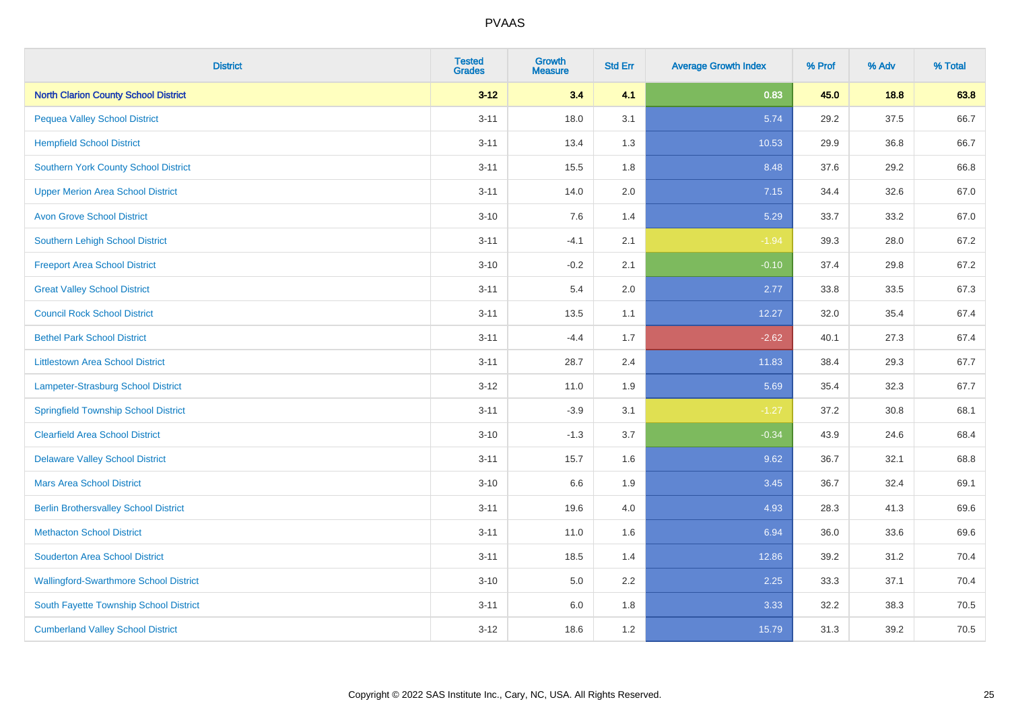| <b>District</b>                               | <b>Tested</b><br><b>Grades</b> | <b>Growth</b><br><b>Measure</b> | <b>Std Err</b> | <b>Average Growth Index</b> | % Prof | % Adv | % Total |
|-----------------------------------------------|--------------------------------|---------------------------------|----------------|-----------------------------|--------|-------|---------|
| <b>North Clarion County School District</b>   | $3 - 12$                       | 3.4                             | 4.1            | 0.83                        | 45.0   | 18.8  | 63.8    |
| <b>Pequea Valley School District</b>          | $3 - 11$                       | 18.0                            | 3.1            | 5.74                        | 29.2   | 37.5  | 66.7    |
| <b>Hempfield School District</b>              | $3 - 11$                       | 13.4                            | 1.3            | 10.53                       | 29.9   | 36.8  | 66.7    |
| <b>Southern York County School District</b>   | $3 - 11$                       | 15.5                            | 1.8            | 8.48                        | 37.6   | 29.2  | 66.8    |
| <b>Upper Merion Area School District</b>      | $3 - 11$                       | 14.0                            | 2.0            | 7.15                        | 34.4   | 32.6  | 67.0    |
| <b>Avon Grove School District</b>             | $3 - 10$                       | 7.6                             | 1.4            | 5.29                        | 33.7   | 33.2  | 67.0    |
| Southern Lehigh School District               | $3 - 11$                       | $-4.1$                          | 2.1            | $-1.94$                     | 39.3   | 28.0  | 67.2    |
| <b>Freeport Area School District</b>          | $3 - 10$                       | $-0.2$                          | 2.1            | $-0.10$                     | 37.4   | 29.8  | 67.2    |
| <b>Great Valley School District</b>           | $3 - 11$                       | 5.4                             | 2.0            | 2.77                        | 33.8   | 33.5  | 67.3    |
| <b>Council Rock School District</b>           | $3 - 11$                       | 13.5                            | 1.1            | 12.27                       | 32.0   | 35.4  | 67.4    |
| <b>Bethel Park School District</b>            | $3 - 11$                       | $-4.4$                          | 1.7            | $-2.62$                     | 40.1   | 27.3  | 67.4    |
| <b>Littlestown Area School District</b>       | $3 - 11$                       | 28.7                            | 2.4            | 11.83                       | 38.4   | 29.3  | 67.7    |
| Lampeter-Strasburg School District            | $3 - 12$                       | 11.0                            | 1.9            | 5.69                        | 35.4   | 32.3  | 67.7    |
| <b>Springfield Township School District</b>   | $3 - 11$                       | $-3.9$                          | 3.1            | $-1.27$                     | 37.2   | 30.8  | 68.1    |
| <b>Clearfield Area School District</b>        | $3 - 10$                       | $-1.3$                          | 3.7            | $-0.34$                     | 43.9   | 24.6  | 68.4    |
| <b>Delaware Valley School District</b>        | $3 - 11$                       | 15.7                            | 1.6            | 9.62                        | 36.7   | 32.1  | 68.8    |
| <b>Mars Area School District</b>              | $3 - 10$                       | 6.6                             | 1.9            | 3.45                        | 36.7   | 32.4  | 69.1    |
| <b>Berlin Brothersvalley School District</b>  | $3 - 11$                       | 19.6                            | 4.0            | 4.93                        | 28.3   | 41.3  | 69.6    |
| <b>Methacton School District</b>              | $3 - 11$                       | 11.0                            | 1.6            | 6.94                        | 36.0   | 33.6  | 69.6    |
| <b>Souderton Area School District</b>         | $3 - 11$                       | 18.5                            | 1.4            | 12.86                       | 39.2   | 31.2  | 70.4    |
| <b>Wallingford-Swarthmore School District</b> | $3 - 10$                       | 5.0                             | 2.2            | 2.25                        | 33.3   | 37.1  | 70.4    |
| South Fayette Township School District        | $3 - 11$                       | 6.0                             | 1.8            | 3.33                        | 32.2   | 38.3  | 70.5    |
| <b>Cumberland Valley School District</b>      | $3 - 12$                       | 18.6                            | 1.2            | 15.79                       | 31.3   | 39.2  | 70.5    |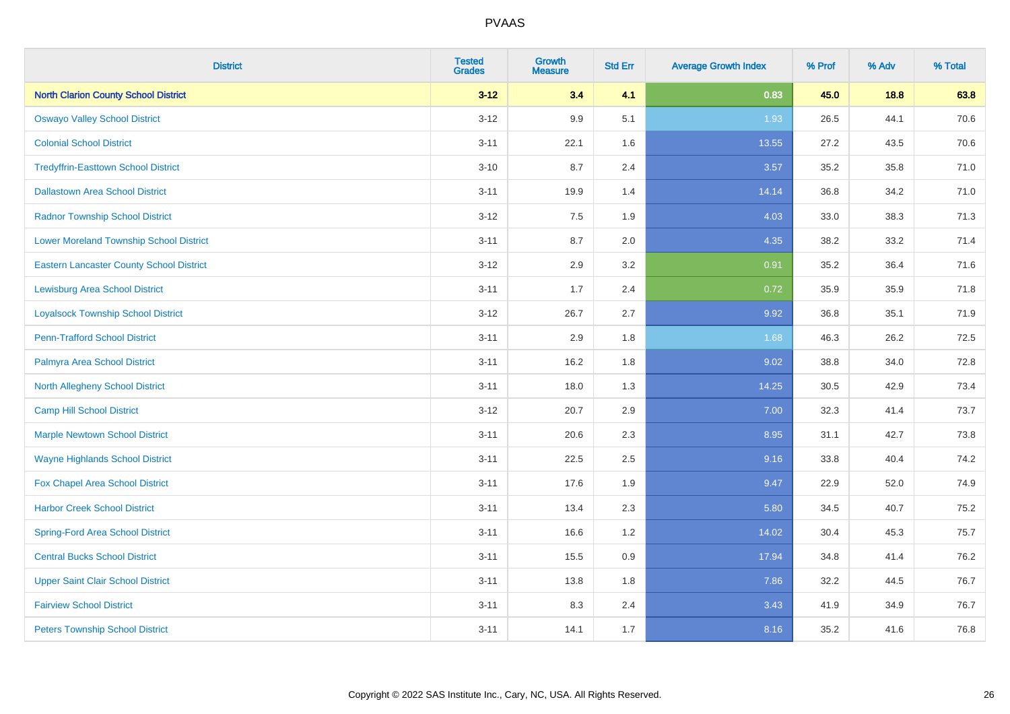| <b>District</b>                                 | <b>Tested</b><br><b>Grades</b> | <b>Growth</b><br><b>Measure</b> | <b>Std Err</b> | <b>Average Growth Index</b> | % Prof | % Adv | % Total |
|-------------------------------------------------|--------------------------------|---------------------------------|----------------|-----------------------------|--------|-------|---------|
| <b>North Clarion County School District</b>     | $3 - 12$                       | 3.4                             | 4.1            | 0.83                        | 45.0   | 18.8  | 63.8    |
| <b>Oswayo Valley School District</b>            | $3 - 12$                       | 9.9                             | 5.1            | 1.93                        | 26.5   | 44.1  | 70.6    |
| <b>Colonial School District</b>                 | $3 - 11$                       | 22.1                            | 1.6            | 13.55                       | 27.2   | 43.5  | 70.6    |
| <b>Tredyffrin-Easttown School District</b>      | $3 - 10$                       | 8.7                             | 2.4            | 3.57                        | 35.2   | 35.8  | 71.0    |
| <b>Dallastown Area School District</b>          | $3 - 11$                       | 19.9                            | 1.4            | 14.14                       | 36.8   | 34.2  | 71.0    |
| <b>Radnor Township School District</b>          | $3 - 12$                       | 7.5                             | 1.9            | 4.03                        | 33.0   | 38.3  | 71.3    |
| <b>Lower Moreland Township School District</b>  | $3 - 11$                       | 8.7                             | 2.0            | 4.35                        | 38.2   | 33.2  | 71.4    |
| <b>Eastern Lancaster County School District</b> | $3 - 12$                       | 2.9                             | 3.2            | 0.91                        | 35.2   | 36.4  | 71.6    |
| <b>Lewisburg Area School District</b>           | $3 - 11$                       | 1.7                             | 2.4            | 0.72                        | 35.9   | 35.9  | 71.8    |
| <b>Loyalsock Township School District</b>       | $3-12$                         | 26.7                            | 2.7            | 9.92                        | 36.8   | 35.1  | 71.9    |
| <b>Penn-Trafford School District</b>            | $3 - 11$                       | 2.9                             | 1.8            | 1.68                        | 46.3   | 26.2  | 72.5    |
| Palmyra Area School District                    | $3 - 11$                       | 16.2                            | 1.8            | 9.02                        | 38.8   | 34.0  | 72.8    |
| North Allegheny School District                 | $3 - 11$                       | 18.0                            | 1.3            | 14.25                       | 30.5   | 42.9  | 73.4    |
| <b>Camp Hill School District</b>                | $3 - 12$                       | 20.7                            | 2.9            | 7.00                        | 32.3   | 41.4  | 73.7    |
| <b>Marple Newtown School District</b>           | $3 - 11$                       | 20.6                            | 2.3            | 8.95                        | 31.1   | 42.7  | 73.8    |
| <b>Wayne Highlands School District</b>          | $3 - 11$                       | 22.5                            | 2.5            | 9.16                        | 33.8   | 40.4  | 74.2    |
| Fox Chapel Area School District                 | $3 - 11$                       | 17.6                            | 1.9            | 9.47                        | 22.9   | 52.0  | 74.9    |
| <b>Harbor Creek School District</b>             | $3 - 11$                       | 13.4                            | 2.3            | 5.80                        | 34.5   | 40.7  | 75.2    |
| <b>Spring-Ford Area School District</b>         | $3 - 11$                       | 16.6                            | 1.2            | 14.02                       | 30.4   | 45.3  | 75.7    |
| <b>Central Bucks School District</b>            | $3 - 11$                       | 15.5                            | 0.9            | 17.94                       | 34.8   | 41.4  | 76.2    |
| <b>Upper Saint Clair School District</b>        | $3 - 11$                       | 13.8                            | 1.8            | 7.86                        | 32.2   | 44.5  | 76.7    |
| <b>Fairview School District</b>                 | $3 - 11$                       | 8.3                             | 2.4            | 3.43                        | 41.9   | 34.9  | 76.7    |
| <b>Peters Township School District</b>          | $3 - 11$                       | 14.1                            | 1.7            | 8.16                        | 35.2   | 41.6  | 76.8    |